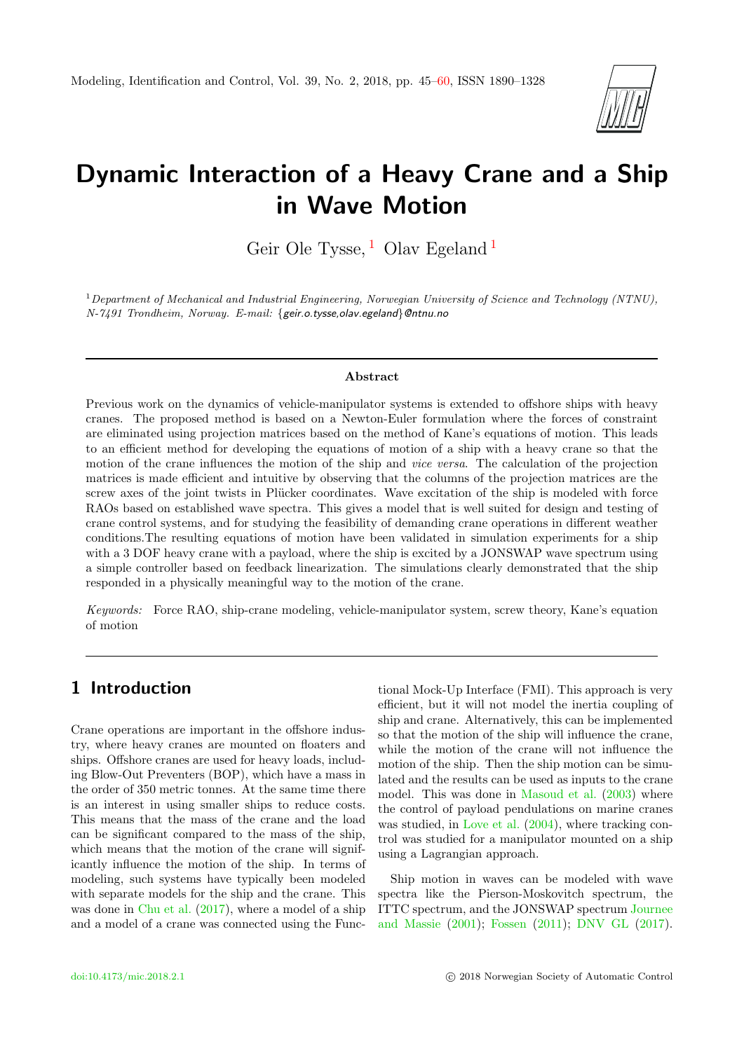

# Dynamic Interaction of a Heavy Crane and a Ship in Wave Motion

Geir Ole Tysse,  $^1$  $^1$  Olav Egeland  $^1$ 

<sup>1</sup>Department of Mechanical and Industrial Engineering, Norwegian University of Science and Technology (NTNU), N-7491 Trondheim, Norway. E-mail: {geir.o.tysse,olav.egeland}@ntnu.no

#### Abstract

Previous work on the dynamics of vehicle-manipulator systems is extended to offshore ships with heavy cranes. The proposed method is based on a Newton-Euler formulation where the forces of constraint are eliminated using projection matrices based on the method of Kane's equations of motion. This leads to an efficient method for developing the equations of motion of a ship with a heavy crane so that the motion of the crane influences the motion of the ship and vice versa. The calculation of the projection matrices is made efficient and intuitive by observing that the columns of the projection matrices are the screw axes of the joint twists in Plücker coordinates. Wave excitation of the ship is modeled with force RAOs based on established wave spectra. This gives a model that is well suited for design and testing of crane control systems, and for studying the feasibility of demanding crane operations in different weather conditions.The resulting equations of motion have been validated in simulation experiments for a ship with a 3 DOF heavy crane with a payload, where the ship is excited by a JONSWAP wave spectrum using a simple controller based on feedback linearization. The simulations clearly demonstrated that the ship responded in a physically meaningful way to the motion of the crane.

Keywords: Force RAO, ship-crane modeling, vehicle-manipulator system, screw theory, Kane's equation of motion

# <span id="page-0-0"></span>1 Introduction

Crane operations are important in the offshore industry, where heavy cranes are mounted on floaters and ships. Offshore cranes are used for heavy loads, including Blow-Out Preventers (BOP), which have a mass in the order of 350 metric tonnes. At the same time there is an interest in using smaller ships to reduce costs. This means that the mass of the crane and the load can be significant compared to the mass of the ship, which means that the motion of the crane will significantly influence the motion of the ship. In terms of modeling, such systems have typically been modeled with separate models for the ship and the crane. This was done in [Chu et al.](#page-14-0) [\(2017\)](#page-14-0), where a model of a ship and a model of a crane was connected using the Functional Mock-Up Interface (FMI). This approach is very efficient, but it will not model the inertia coupling of ship and crane. Alternatively, this can be implemented so that the motion of the ship will influence the crane, while the motion of the crane will not influence the motion of the ship. Then the ship motion can be simulated and the results can be used as inputs to the crane model. This was done in [Masoud et al.](#page-15-1) [\(2003\)](#page-15-1) where the control of payload pendulations on marine cranes was studied, in [Love et al.](#page-15-2)  $(2004)$ , where tracking control was studied for a manipulator mounted on a ship using a Lagrangian approach.

Ship motion in waves can be modeled with wave spectra like the Pierson-Moskovitch spectrum, the ITTC spectrum, and the JONSWAP spectrum [Journee](#page-14-1) [and Massie](#page-14-1) [\(2001\)](#page-14-1); [Fossen](#page-14-2) [\(2011\)](#page-14-2); [DNV GL](#page-14-3) [\(2017\)](#page-14-3).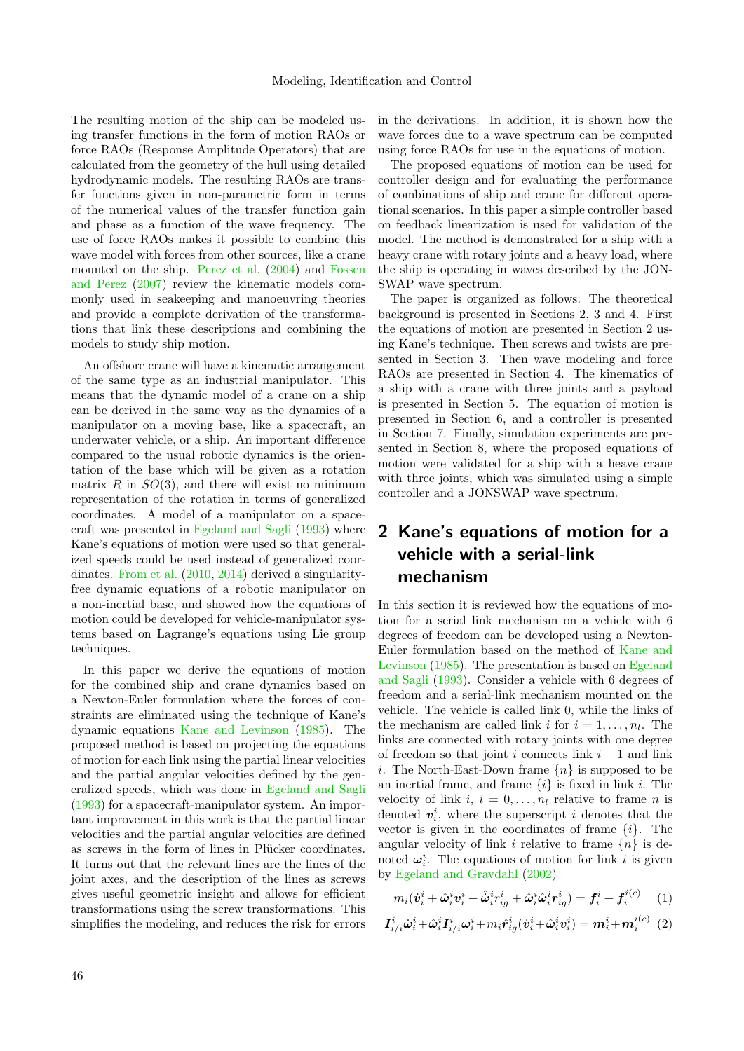The resulting motion of the ship can be modeled using transfer functions in the form of motion RAOs or force RAOs (Response Amplitude Operators) that are calculated from the geometry of the hull using detailed hydrodynamic models. The resulting RAOs are transfer functions given in non-parametric form in terms of the numerical values of the transfer function gain and phase as a function of the wave frequency. The use of force RAOs makes it possible to combine this wave model with forces from other sources, like a crane mounted on the ship. [Perez et al.](#page-15-3) [\(2004\)](#page-15-3) and [Fossen](#page-14-4) [and Perez](#page-14-4) [\(2007\)](#page-14-4) review the kinematic models commonly used in seakeeping and manoeuvring theories and provide a complete derivation of the transformations that link these descriptions and combining the models to study ship motion.

An offshore crane will have a kinematic arrangement of the same type as an industrial manipulator. This means that the dynamic model of a crane on a ship can be derived in the same way as the dynamics of a manipulator on a moving base, like a spacecraft, an underwater vehicle, or a ship. An important difference compared to the usual robotic dynamics is the orientation of the base which will be given as a rotation matrix  $R$  in  $SO(3)$ , and there will exist no minimum representation of the rotation in terms of generalized coordinates. A model of a manipulator on a spacecraft was presented in [Egeland and Sagli](#page-14-5) [\(1993\)](#page-14-5) where Kane's equations of motion were used so that generalized speeds could be used instead of generalized coordinates. [From et al.](#page-14-6) [\(2010,](#page-14-6) [2014\)](#page-14-7) derived a singularityfree dynamic equations of a robotic manipulator on a non-inertial base, and showed how the equations of motion could be developed for vehicle-manipulator systems based on Lagrange's equations using Lie group techniques.

In this paper we derive the equations of motion for the combined ship and crane dynamics based on a Newton-Euler formulation where the forces of constraints are eliminated using the technique of Kane's dynamic equations [Kane and Levinson](#page-15-4) [\(1985\)](#page-15-4). The proposed method is based on projecting the equations of motion for each link using the partial linear velocities and the partial angular velocities defined by the generalized speeds, which was done in [Egeland and Sagli](#page-14-5) [\(1993\)](#page-14-5) for a spacecraft-manipulator system. An important improvement in this work is that the partial linear velocities and the partial angular velocities are defined as screws in the form of lines in Plücker coordinates. It turns out that the relevant lines are the lines of the joint axes, and the description of the lines as screws gives useful geometric insight and allows for efficient transformations using the screw transformations. This simplifies the modeling, and reduces the risk for errors in the derivations. In addition, it is shown how the wave forces due to a wave spectrum can be computed using force RAOs for use in the equations of motion.

The proposed equations of motion can be used for controller design and for evaluating the performance of combinations of ship and crane for different operational scenarios. In this paper a simple controller based on feedback linearization is used for validation of the model. The method is demonstrated for a ship with a heavy crane with rotary joints and a heavy load, where the ship is operating in waves described by the JON-SWAP wave spectrum.

The paper is organized as follows: The theoretical background is presented in Sections 2, 3 and 4. First the equations of motion are presented in Section 2 using Kane's technique. Then screws and twists are presented in Section 3. Then wave modeling and force RAOs are presented in Section 4. The kinematics of a ship with a crane with three joints and a payload is presented in Section 5. The equation of motion is presented in Section 6, and a controller is presented in Section 7. Finally, simulation experiments are presented in Section 8, where the proposed equations of motion were validated for a ship with a heave crane with three joints, which was simulated using a simple controller and a JONSWAP wave spectrum.

# 2 Kane's equations of motion for a vehicle with a serial-link mechanism

In this section it is reviewed how the equations of motion for a serial link mechanism on a vehicle with 6 degrees of freedom can be developed using a Newton-Euler formulation based on the method of [Kane and](#page-15-4) [Levinson](#page-15-4) [\(1985\)](#page-15-4). The presentation is based on [Egeland](#page-14-5) [and Sagli](#page-14-5) [\(1993\)](#page-14-5). Consider a vehicle with 6 degrees of freedom and a serial-link mechanism mounted on the vehicle. The vehicle is called link 0, while the links of the mechanism are called link *i* for  $i = 1, \ldots, n_l$ . The links are connected with rotary joints with one degree of freedom so that joint i connects link  $i - 1$  and link i. The North-East-Down frame  ${n}$  is supposed to be an inertial frame, and frame  $\{i\}$  is fixed in link i. The velocity of link  $i, i = 0, \ldots, n_l$  relative to frame n is denoted  $v_i^i$ , where the superscript i denotes that the vector is given in the coordinates of frame  $\{i\}$ . The angular velocity of link i relative to frame  ${n}$  is denoted  $\boldsymbol{\omega}_i^i$ . The equations of motion for link *i* is given by [Egeland and Gravdahl](#page-14-8) [\(2002\)](#page-14-8)

<span id="page-1-0"></span>
$$
m_i(\dot{\boldsymbol{v}}_i^i + \hat{\boldsymbol{\omega}}_i^i \boldsymbol{v}_i^i + \hat{\dot{\boldsymbol{\omega}}}_i^i r_{ig}^i + \hat{\boldsymbol{\omega}}_i^i \hat{\boldsymbol{\omega}}_i^i r_{ig}^i) = \boldsymbol{f}_i^i + \boldsymbol{f}_i^{i(c)} \tag{1}
$$

<span id="page-1-1"></span>
$$
\boldsymbol{I}_{i/i}^{i} \dot{\boldsymbol{\omega}}_{i}^{i} + \hat{\boldsymbol{\omega}}_{i}^{i} \boldsymbol{I}_{i/i}^{i} \boldsymbol{\omega}_{i}^{i} + m_{i} \hat{\boldsymbol{r}}_{ig}^{i} (\dot{\boldsymbol{v}}_{i}^{i} + \hat{\boldsymbol{\omega}}_{i}^{i} \boldsymbol{v}_{i}^{i}) = \boldsymbol{m}_{i}^{i} + \boldsymbol{m}_{i}^{i(c)} \tag{2}
$$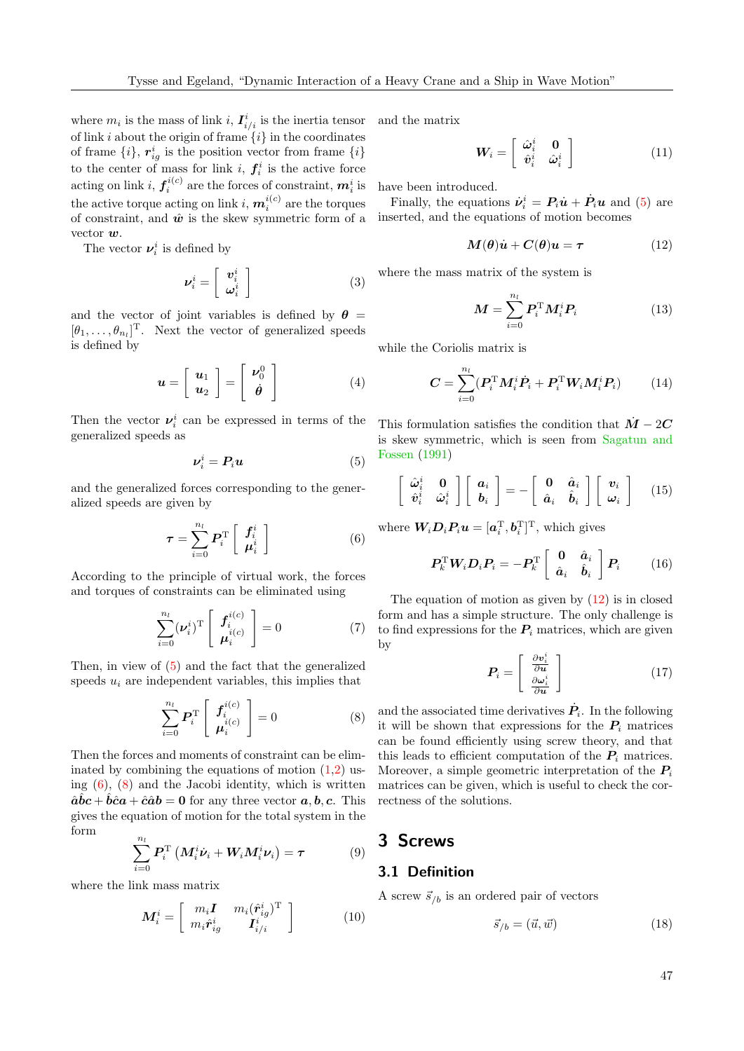where  $m_i$  is the mass of link i,  $I^i_{i/i}$  is the inertia tensor of link i about the origin of frame  $\{i\}$  in the coordinates of frame  $\{i\}$ ,  $r_{ig}^i$  is the position vector from frame  $\{i\}$ to the center of mass for link *i*,  $f_i^i$  is the active force acting on link i,  $f_i^{i(c)}$  are the forces of constraint,  $m_i^i$  is the active torque acting on link  $i, m_i^{i(c)}$  are the torques of constraint, and  $\hat{w}$  is the skew symmetric form of a vector w.

The vector  $\nu_i^i$  is defined by

$$
\nu_i^i = \left[ \begin{array}{c} \mathbf{v}_i^i \\ \boldsymbol{\omega}_i^i \end{array} \right] \tag{3}
$$

and the vector of joint variables is defined by  $\theta =$  $[\theta_1, \ldots, \theta_{n_l}]^{\mathrm{T}}$ . Next the vector of generalized speeds is defined by

$$
\boldsymbol{u} = \left[ \begin{array}{c} \boldsymbol{u}_1 \\ \boldsymbol{u}_2 \end{array} \right] = \left[ \begin{array}{c} \boldsymbol{\nu}_0^0 \\ \boldsymbol{\dot{\theta}} \end{array} \right] \tag{4}
$$

Then the vector  $v_i^i$  can be expressed in terms of the generalized speeds as

<span id="page-2-0"></span>
$$
\nu_i^i = P_i u \tag{5}
$$

and the generalized forces corresponding to the generalized speeds are given by

<span id="page-2-1"></span>
$$
\boldsymbol{\tau} = \sum_{i=0}^{n_l} \boldsymbol{P}_i^{\mathrm{T}} \left[ \begin{array}{c} \boldsymbol{f}_i^i \\ \boldsymbol{\mu}_i^i \end{array} \right] \tag{6}
$$

According to the principle of virtual work, the forces and torques of constraints can be eliminated using

$$
\sum_{i=0}^{n_l} (\nu_i^i)^{\mathrm{T}} \begin{bmatrix} f_i^{i(c)} \\ \mu_i^{i(c)} \end{bmatrix} = 0 \tag{7}
$$

Then, in view of [\(5\)](#page-2-0) and the fact that the generalized speeds  $u_i$  are independent variables, this implies that

<span id="page-2-2"></span>
$$
\sum_{i=0}^{n_l} \boldsymbol{P}_i^{\mathrm{T}} \left[ \begin{array}{c} \boldsymbol{f}_i^{i(c)} \\ \boldsymbol{\mu}_i^{i(c)} \end{array} \right] = 0 \tag{8}
$$

Then the forces and moments of constraint can be eliminated by combining the equations of motion  $(1,2)$  $(1,2)$  using  $(6)$ ,  $(8)$  and the Jacobi identity, which is written  $\hat{a}\hat{b}c + \hat{b}\hat{c}a + \hat{c}\hat{a}b = 0$  for any three vector  $a, b, c$ . This gives the equation of motion for the total system in the form

<span id="page-2-4"></span>
$$
\sum_{i=0}^{n_l} P_i^{\mathrm{T}} \left( M_i^i \dot{\boldsymbol{\nu}}_i + \boldsymbol{W}_i M_i^i \boldsymbol{\nu}_i \right) = \boldsymbol{\tau}
$$
 (9)

where the link mass matrix

<span id="page-2-5"></span>
$$
\boldsymbol{M}_{i}^{i} = \left[ \begin{array}{cc} m_{i} \boldsymbol{I} & m_{i} (\hat{\boldsymbol{r}}_{ig}^{i})^{\mathrm{T}} \\ m_{i} \hat{\boldsymbol{r}}_{ig}^{i} & \boldsymbol{I}_{i/i}^{i} \end{array} \right] \tag{10}
$$

and the matrix

$$
W_i = \left[ \begin{array}{cc} \hat{\omega}_i^i & 0\\ \hat{v}_i^i & \hat{\omega}_i^i \end{array} \right] \tag{11}
$$

have been introduced.

Finally, the equations  $\dot{\boldsymbol{\nu}_i}^i = \boldsymbol{P}_i \dot{\boldsymbol{u}} + \dot{\boldsymbol{P}}_i \boldsymbol{u}$  and [\(5\)](#page-2-0) are inserted, and the equations of motion becomes

<span id="page-2-3"></span>
$$
M(\theta)\dot{u} + C(\theta)u = \tau \tag{12}
$$

where the mass matrix of the system is

$$
\boldsymbol{M} = \sum_{i=0}^{n_l} \boldsymbol{P}_i^{\mathrm{T}} \boldsymbol{M}_i^i \boldsymbol{P}_i \tag{13}
$$

while the Coriolis matrix is

<span id="page-2-6"></span>
$$
\boldsymbol{C} = \sum_{i=0}^{n_l} (\boldsymbol{P}_i^{\mathrm{T}} \boldsymbol{M}_i^i \dot{\boldsymbol{P}}_i + \boldsymbol{P}_i^{\mathrm{T}} \boldsymbol{W}_i \boldsymbol{M}_i^i \boldsymbol{P}_i)
$$
(14)

This formulation satisfies the condition that  $\dot{M} - 2C$ is skew symmetric, which is seen from [Sagatun and](#page-15-5) [Fossen](#page-15-5) [\(1991\)](#page-15-5)

$$
\begin{bmatrix}\n\hat{\omega}_i^i & 0 \\
\hat{v}_i^i & \hat{\omega}_i^i\n\end{bmatrix}\n\begin{bmatrix}\n a_i \\
 b_i\n\end{bmatrix} = -\n\begin{bmatrix}\n0 & \hat{a}_i \\
\hat{a}_i & \hat{b}_i\n\end{bmatrix}\n\begin{bmatrix}\n v_i \\
 \omega_i\n\end{bmatrix} \quad (15)
$$

where  $W_i \mathcal{D}_i P_i \mathbf{u} = [\mathbf{a}_i^{\mathrm{T}}, \mathbf{b}_i^{\mathrm{T}}]^{\mathrm{T}}$ , which gives

$$
\boldsymbol{P}_k^{\mathrm{T}} \boldsymbol{W}_i \boldsymbol{D}_i \boldsymbol{P}_i = -\boldsymbol{P}_k^{\mathrm{T}} \begin{bmatrix} \boldsymbol{0} & \hat{\boldsymbol{a}}_i \\ \hat{\boldsymbol{a}}_i & \hat{\boldsymbol{b}}_i \end{bmatrix} \boldsymbol{P}_i \qquad (16)
$$

The equation of motion as given by  $(12)$  is in closed form and has a simple structure. The only challenge is to find expressions for the  $P_i$  matrices, which are given by

$$
\boldsymbol{P}_i = \left[ \begin{array}{c} \frac{\partial \boldsymbol{v}_i^i}{\partial \boldsymbol{u}} \\ \frac{\partial \boldsymbol{\omega}_i^i}{\partial \boldsymbol{u}} \end{array} \right] \tag{17}
$$

and the associated time derivatives  $\dot{P}_i$ . In the following it will be shown that expressions for the  $P_i$  matrices can be found efficiently using screw theory, and that this leads to efficient computation of the  $P_i$  matrices. Moreover, a simple geometric interpretation of the  $P_i$ matrices can be given, which is useful to check the correctness of the solutions.

# 3 Screws

#### 3.1 Definition

A screw  $\vec{s}_{/b}$  is an ordered pair of vectors

$$
\vec{s}_{/b} = (\vec{u}, \vec{w}) \tag{18}
$$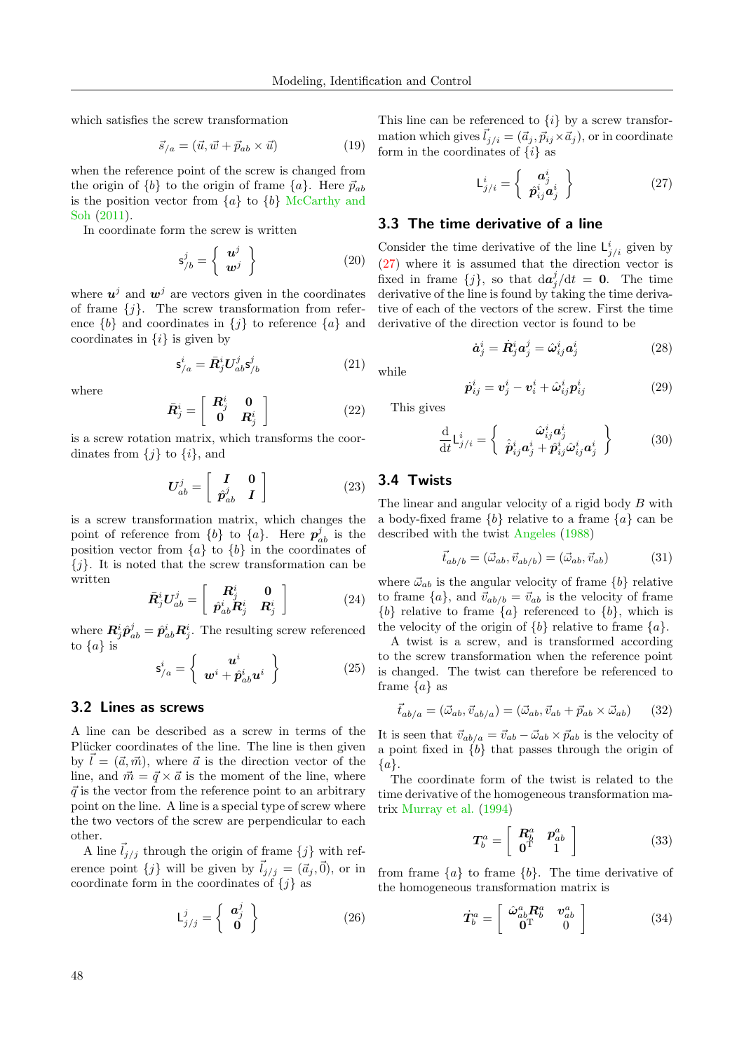which satisfies the screw transformation

$$
\vec{s}_{/a} = (\vec{u}, \vec{w} + \vec{p}_{ab} \times \vec{u}) \tag{19}
$$

when the reference point of the screw is changed from the origin of  $\{b\}$  to the origin of frame  $\{a\}$ . Here  $\vec{p}_{ab}$ is the position vector from  ${a}$  to  ${b}$  [McCarthy and](#page-15-6) [Soh](#page-15-6) [\(2011\)](#page-15-6).

In coordinate form the screw is written

$$
\mathsf{s}_{/b}^j = \left\{ \begin{array}{c} \boldsymbol{u}^j \\ \boldsymbol{w}^j \end{array} \right\} \tag{20}
$$

where  $u^j$  and  $w^j$  are vectors given in the coordinates of frame  $\{j\}$ . The screw transformation from reference  $\{b\}$  and coordinates in  $\{j\}$  to reference  $\{a\}$  and coordinates in  $\{i\}$  is given by

$$
\mathbf{s}_{/a}^i = \bar{\mathbf{R}}_j^i \mathbf{U}_{ab}^j \mathbf{s}_{/b}^j \tag{21}
$$

where

$$
\bar{\boldsymbol{R}}_j^i = \left[ \begin{array}{cc} \boldsymbol{R}_j^i & \mathbf{0} \\ \mathbf{0} & \boldsymbol{R}_j^i \end{array} \right] \tag{22}
$$

is a screw rotation matrix, which transforms the coordinates from  $\{j\}$  to  $\{i\}$ , and

$$
U_{ab}^j = \left[ \begin{array}{cc} I & 0 \\ \hat{p}_{ab}^j & I \end{array} \right] \tag{23}
$$

is a screw transformation matrix, which changes the point of reference from  $\{b\}$  to  $\{a\}$ . Here  $p_{ab}^j$  is the position vector from  $\{a\}$  to  $\{b\}$  in the coordinates of  ${j}$ . It is noted that the screw transformation can be written

<span id="page-3-1"></span>
$$
\bar{\boldsymbol{R}}_{j}^{i}U_{ab}^{j} = \begin{bmatrix} \boldsymbol{R}_{j}^{i} & \boldsymbol{0} \\ \hat{p}_{ab}^{i} \boldsymbol{R}_{j}^{i} & \boldsymbol{R}_{j}^{i} \end{bmatrix}
$$
 (24)

where  $R^i_j \hat{p}^j_{ab} = \hat{p}^i_{ab} R^i_j$ . The resulting screw referenced to  $\{a\}$  is

$$
\mathsf{s}_{/a}^i = \left\{ \begin{array}{c} \boldsymbol{u}^i \\ \boldsymbol{w}^i + \hat{\boldsymbol{p}}_{ab}^i \boldsymbol{u}^i \end{array} \right\} \tag{25}
$$

## 3.2 Lines as screws

A line can be described as a screw in terms of the Plücker coordinates of the line. The line is then given by  $\vec{l} = (\vec{a}, \vec{m})$ , where  $\vec{a}$  is the direction vector of the line, and  $\vec{m} = \vec{q} \times \vec{a}$  is the moment of the line, where  $\vec{q}$  is the vector from the reference point to an arbitrary point on the line. A line is a special type of screw where the two vectors of the screw are perpendicular to each other.

A line  $\vec{l}_{j/j}$  through the origin of frame  $\{j\}$  with reference point  ${j}$  will be given by  $\vec{l}_{j/j} = (\vec{a}_j, \vec{0})$ , or in coordinate form in the coordinates of  $\{j\}$  as

$$
\mathsf{L}_{j/j}^{j} = \left\{ \begin{array}{c} \mathbf{a}_{j}^{j} \\ \mathbf{0} \end{array} \right\} \tag{26}
$$

This line can be referenced to  $\{i\}$  by a screw transformation which gives  $\vec{l}_{j/i} = (\vec{a}_j, \vec{p}_{ij} \times \vec{a}_j)$ , or in coordinate form in the coordinates of  $\{i\}$  as

<span id="page-3-0"></span>
$$
\mathsf{L}_{j/i}^{i} = \left\{ \begin{array}{c} \mathbf{a}_{j}^{i} \\ \hat{\mathbf{p}}_{ij}^{i} \mathbf{a}_{j}^{i} \end{array} \right\} \tag{27}
$$

#### 3.3 The time derivative of a line

Consider the time derivative of the line  $\mathsf{L}^i_{j/i}$  given by [\(27\)](#page-3-0) where it is assumed that the direction vector is fixed in frame  $\{j\}$ , so that  $d\mathbf{a}^j_j/dt = 0$ . The time derivative of the line is found by taking the time derivative of each of the vectors of the screw. First the time derivative of the direction vector is found to be

$$
\dot{a}_j^i = \dot{R}_j^i a_j^j = \hat{\omega}_{ij}^i a_j^i \tag{28}
$$

$$
\dot{\boldsymbol{p}}_{ij}^i = \boldsymbol{v}_j^i - \boldsymbol{v}_i^i + \hat{\boldsymbol{\omega}}_{ij}^i \boldsymbol{p}_{ij}^i
$$
 (29)

This gives

while

$$
\frac{\mathrm{d}}{\mathrm{d}t}\mathsf{L}_{j/i}^{i} = \left\{\begin{array}{c} \hat{\omega}_{ij}^{i}\mathbf{a}_{j}^{i} \\ \hat{p}_{ij}^{i}\mathbf{a}_{j}^{i} + \hat{p}_{ij}^{i}\hat{\omega}_{ij}^{i}\mathbf{a}_{j}^{i} \end{array}\right\}
$$
(30)

#### 3.4 Twists

The linear and angular velocity of a rigid body B with a body-fixed frame  $\{b\}$  relative to a frame  $\{a\}$  can be described with the twist [Angeles](#page-13-0) [\(1988\)](#page-13-0)

$$
\vec{t}_{ab/b} = (\vec{\omega}_{ab}, \vec{v}_{ab/b}) = (\vec{\omega}_{ab}, \vec{v}_{ab}) \tag{31}
$$

where  $\vec{\omega}_{ab}$  is the angular velocity of frame  $\{b\}$  relative to frame  ${a}$ , and  $\vec{v}_{ab/b} = \vec{v}_{ab}$  is the velocity of frame  ${b}$  relative to frame  ${a}$  referenced to  ${b}$ , which is the velocity of the origin of  $\{b\}$  relative to frame  $\{a\}$ .

A twist is a screw, and is transformed according to the screw transformation when the reference point is changed. The twist can therefore be referenced to frame  $\{a\}$  as

$$
\vec{t}_{ab/a} = (\vec{\omega}_{ab}, \vec{v}_{ab/a}) = (\vec{\omega}_{ab}, \vec{v}_{ab} + \vec{p}_{ab} \times \vec{\omega}_{ab}) \qquad (32)
$$

It is seen that  $\vec{v}_{ab/a} = \vec{v}_{ab} - \vec{\omega}_{ab} \times \vec{p}_{ab}$  is the velocity of a point fixed in  ${b}$  that passes through the origin of  ${a}.$ 

The coordinate form of the twist is related to the time derivative of the homogeneous transformation matrix [Murray et al.](#page-15-7) [\(1994\)](#page-15-7)

$$
T_b^a = \left[ \begin{array}{cc} \mathbf{R}_b^a & \mathbf{p}_{ab}^a \\ \mathbf{0}^{\mathrm{T}} & 1 \end{array} \right] \tag{33}
$$

from frame  $\{a\}$  to frame  $\{b\}$ . The time derivative of the homogeneous transformation matrix is

$$
\dot{\mathbf{T}}_b^a = \left[ \begin{array}{cc} \hat{\omega}_{ab}^a \mathbf{R}_b^a & \mathbf{v}_{ab}^a \\ \mathbf{0}^{\mathrm{T}} & 0 \end{array} \right] \tag{34}
$$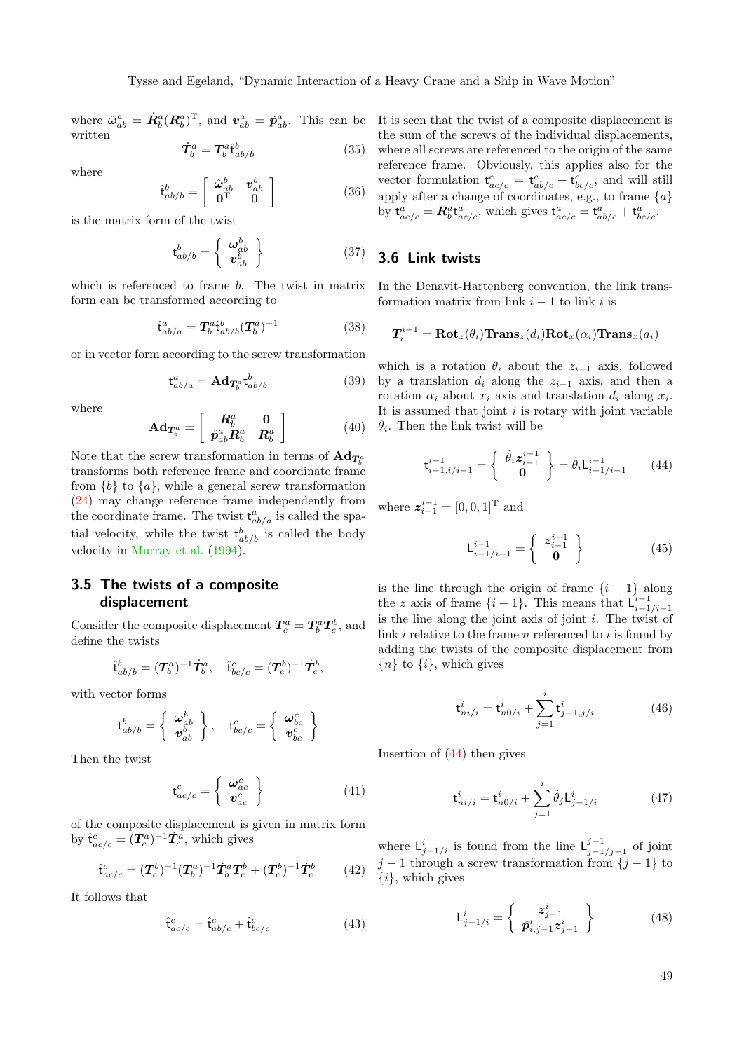where  $\hat{\omega}_{ab}^a = \dot{R}_b^a (R_b^a)^T$ , and  $v_{ab}^a = \dot{p}_{ab}^a$ . This can be It is seen that the twist of a composite displacement is written

$$
\dot{T}_b^a = T_b^a \hat{\mathbf{t}}_{ab/b}^b \tag{35}
$$

where

$$
\hat{\mathbf{t}}_{ab/b}^{b} = \begin{bmatrix} \hat{\boldsymbol{\omega}}_{ab}^{b} & \boldsymbol{v}_{ab}^{b} \\ \mathbf{0}^{\mathrm{T}} & 0 \end{bmatrix}
$$
 (36)

is the matrix form of the twist

$$
\mathbf{t}_{ab/b}^b = \left\{ \begin{array}{c} \boldsymbol{\omega}_{ab}^b \\ \boldsymbol{v}_{ab}^b \end{array} \right\} \tag{37}
$$

which is referenced to frame *b*. The twist in matrix form can be transformed according to

$$
\hat{\mathbf{t}}_{ab/a}^a = \mathbf{T}_b^a \hat{\mathbf{t}}_{ab/b}^b (\mathbf{T}_b^a)^{-1} \tag{38}
$$

or in vector form according to the screw transformation

$$
\mathbf{t}^a_{ab/a} = \mathbf{A} \mathbf{d}_{\mathbf{T}_b^a} \mathbf{t}^b_{ab/b} \tag{39}
$$

where

$$
\mathbf{Ad}_{\boldsymbol{T}_{b}^{a}} = \left[ \begin{array}{cc} \boldsymbol{R}_{b}^{a} & \mathbf{0} \\ \hat{\boldsymbol{p}}_{ab}^{a} \boldsymbol{R}_{b}^{a} & \boldsymbol{R}_{b}^{a} \end{array} \right] \tag{40}
$$

Note that the screw transformation in terms of  $\mathbf{Ad}_{T^a_b}$ transforms both reference frame and coordinate frame from  $\{b\}$  to  $\{a\}$ , while a general screw transformation [\(24\)](#page-3-1) may change reference frame independently from the coordinate frame. The twist  $t^a_{ab/a}$  is called the spatial velocity, while the twist  $t_{ab/b}^b$  is called the body velocity in [Murray et al.](#page-15-7) [\(1994\)](#page-15-7).

## 3.5 The twists of a composite displacement

Consider the composite displacement  $T_c^a = T_b^a T_c^b$ , and define the twists

$$
\hat{\mathbf{t}}_{ab/b}^b = (\mathbf{T}_b^a)^{-1} \dot{\mathbf{T}}_b^a, \quad \hat{\mathbf{t}}_{bc/c}^c = (\mathbf{T}_c^b)^{-1} \dot{\mathbf{T}}_c^b,
$$

with vector forms

$$
\mathsf{t}^b_{ab/b} = \left\{ \begin{array}{c} \pmb{\omega}^b_{ab} \\ \pmb{v}^b_{ab} \end{array} \right\}, \quad \mathsf{t}^c_{bc/c} = \left\{ \begin{array}{c} \pmb{\omega}^c_{bc} \\ \pmb{v}^c_{bc} \end{array} \right\}
$$

Then the twist

$$
\mathbf{t}_{ac/c}^{c} = \left\{ \begin{array}{c} \boldsymbol{\omega}_{ac}^{c} \\ \boldsymbol{v}_{ac}^{c} \end{array} \right\} \tag{41}
$$

of the composite displacement is given in matrix form by  $\hat{\mathbf{t}}_{ac/c}^c = (\mathbf{T}_c^a)^{-1} \dot{\mathbf{T}}_c^a$ , which gives

$$
\hat{\mathbf{t}}_{ac/c}^c = (\mathbf{T}_c^b)^{-1} (\mathbf{T}_b^a)^{-1} \dot{\mathbf{T}}_b^a \mathbf{T}_c^b + (\mathbf{T}_c^b)^{-1} \dot{\mathbf{T}}_c^b \tag{42}
$$

It follows that

$$
\hat{\mathbf{t}}_{ac/c}^c = \hat{\mathbf{t}}_{ab/c}^c + \hat{\mathbf{t}}_{bc/c}^c \tag{43}
$$

the sum of the screws of the individual displacements, where all screws are referenced to the origin of the same reference frame. Obviously, this applies also for the vector formulation  $t_{ac/c}^c = t_{ab/c}^c + t_{bc/c}^c$ , and will still apply after a change of coordinates, e.g., to frame  ${a}$ by  $t^a_{ac/c} = \bar{R}^a_b t^a_{ac/c}$ , which gives  $t^a_{ac/c} = t^a_{ab/c} + t^a_{bc/c}$ .

## 3.6 Link twists

In the Denavit-Hartenberg convention, the link transformation matrix from link  $i - 1$  to link i is

$$
T_i^{i-1} = \mathbf{Rot}_z(\theta_i) \mathbf{Trans}_z(d_i) \mathbf{Rot}_x(\alpha_i) \mathbf{Trans}_x(a_i)
$$

which is a rotation  $\theta_i$  about the  $z_{i-1}$  axis, followed by a translation  $d_i$  along the  $z_{i-1}$  axis, and then a rotation  $\alpha_i$  about  $x_i$  axis and translation  $d_i$  along  $x_i$ . It is assumed that joint  $i$  is rotary with joint variable  $\theta_i$ . Then the link twist will be

<span id="page-4-0"></span>
$$
\mathbf{t}_{i-1,i/i-1}^{i-1} = \begin{Bmatrix} \dot{\theta}_i \mathbf{z}_{i-1}^{i-1} \\ \mathbf{0} \end{Bmatrix} = \dot{\theta}_i \mathbf{L}_{i-1/i-1}^{i-1} \qquad (44)
$$

where  $z_{i-1}^{i-1} = [0, 0, 1]^{\text{T}}$  and

$$
\mathsf{L}_{i-1/i-1}^{i-1} = \left\{ \begin{array}{c} \mathbf{z}_{i-1}^{i-1} \\ \mathbf{0} \end{array} \right\} \tag{45}
$$

is the line through the origin of frame  $\{i - 1\}$  along the z axis of frame  $\{i-1\}$ . This means that  $\mathcal{L}_{i-1/i-1}^{i-1}$ is the line along the joint axis of joint  $i$ . The twist of link  $i$  relative to the frame  $n$  referenced to  $i$  is found by adding the twists of the composite displacement from  ${n}$  to  $\{i\}$ , which gives

$$
\mathbf{t}_{ni/i}^i = \mathbf{t}_{n0/i}^i + \sum_{j=1}^i \mathbf{t}_{j-1,j/i}^i \tag{46}
$$

Insertion of [\(44\)](#page-4-0) then gives

<span id="page-4-1"></span>
$$
\mathbf{t}_{ni/i}^i = \mathbf{t}_{n0/i}^i + \sum_{j=1}^i \dot{\theta}_j \mathbf{L}_{j-1/i}^i \tag{47}
$$

where  $\mathsf{L}_{j-1/i}^i$  is found from the line  $\mathsf{L}_{j-1}^{j-1}$  $j-1$ <sub>j−1</sub> of joint  $j-1$  through a screw transformation from  $\{j-1\}$  to  $\{i\}$ , which gives

<span id="page-4-2"></span>
$$
\mathsf{L}_{j-1/i}^{i} = \left\{ \begin{array}{c} z_{j-1}^{i} \\ \hat{p}_{i,j-1}^{i} z_{j-1}^{i} \end{array} \right\} \tag{48}
$$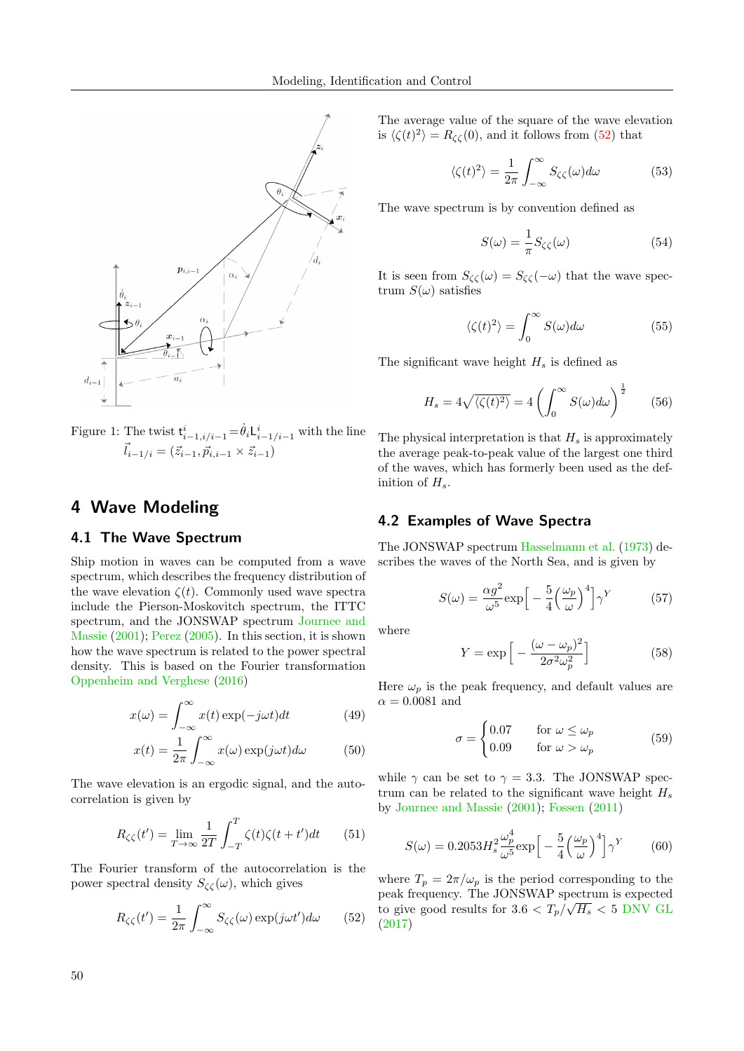

Figure 1: The twist  $\mathsf{t}_{i-1,i/i-1}^i = \dot{\theta}_i \mathsf{L}_{i-1/i-1}^i$  with the line  $\vec{l}_{i-1/i} = (\vec{z}_{i-1}, \vec{p}_{i,i-1} \times \vec{z}_{i-1})$ 

# 4 Wave Modeling

## 4.1 The Wave Spectrum

Ship motion in waves can be computed from a wave spectrum, which describes the frequency distribution of the wave elevation  $\zeta(t)$ . Commonly used wave spectra include the Pierson-Moskovitch spectrum, the ITTC spectrum, and the JONSWAP spectrum [Journee and](#page-14-1) [Massie](#page-14-1) [\(2001\)](#page-14-1); [Perez](#page-15-8) [\(2005\)](#page-15-8). In this section, it is shown how the wave spectrum is related to the power spectral density. This is based on the Fourier transformation [Oppenheim and Verghese](#page-15-9) [\(2016\)](#page-15-9)

$$
x(\omega) = \int_{-\infty}^{\infty} x(t) \exp(-j\omega t) dt
$$
 (49)

$$
x(t) = \frac{1}{2\pi} \int_{-\infty}^{\infty} x(\omega) \exp(j\omega t) d\omega \qquad (50)
$$

The wave elevation is an ergodic signal, and the autocorrelation is given by

$$
R_{\zeta\zeta}(t') = \lim_{T \to \infty} \frac{1}{2T} \int_{-T}^{T} \zeta(t)\zeta(t+t')dt \qquad (51)
$$

The Fourier transform of the autocorrelation is the power spectral density  $S_{\zeta\zeta}(\omega)$ , which gives

<span id="page-5-0"></span>
$$
R_{\zeta\zeta}(t') = \frac{1}{2\pi} \int_{-\infty}^{\infty} S_{\zeta\zeta}(\omega) \exp(j\omega t') d\omega \qquad (52)
$$

The average value of the square of the wave elevation is  $\langle \zeta(t)^2 \rangle = R_{\zeta\zeta}(0)$ , and it follows from [\(52\)](#page-5-0) that

$$
\langle \zeta(t)^2 \rangle = \frac{1}{2\pi} \int_{-\infty}^{\infty} S_{\zeta\zeta}(\omega) d\omega \tag{53}
$$

The wave spectrum is by convention defined as

$$
S(\omega) = \frac{1}{\pi} S_{\zeta\zeta}(\omega)
$$
 (54)

It is seen from  $S_{\zeta\zeta}(\omega) = S_{\zeta\zeta}(-\omega)$  that the wave spectrum  $S(\omega)$  satisfies

$$
\langle \zeta(t)^2 \rangle = \int_0^\infty S(\omega) d\omega \tag{55}
$$

The significant wave height  $H_s$  is defined as

$$
H_s = 4\sqrt{\langle \zeta(t)^2 \rangle} = 4\left(\int_0^\infty S(\omega)d\omega\right)^{\frac{1}{2}} \tag{56}
$$

The physical interpretation is that  $H_s$  is approximately the average peak-to-peak value of the largest one third of the waves, which has formerly been used as the definition of  $H_s$ .

#### 4.2 Examples of Wave Spectra

The JONSWAP spectrum [Hasselmann et al.](#page-14-9) [\(1973\)](#page-14-9) describes the waves of the North Sea, and is given by

$$
S(\omega) = \frac{\alpha g^2}{\omega^5} \exp\left[-\frac{5}{4} \left(\frac{\omega_p}{\omega}\right)^4\right] \gamma^Y \tag{57}
$$

where

$$
Y = \exp\left[-\frac{(\omega - \omega_p)^2}{2\sigma^2 \omega_p^2}\right]
$$
 (58)

Here  $\omega_n$  is the peak frequency, and default values are  $\alpha = 0.0081$  and

$$
\sigma = \begin{cases} 0.07 & \text{for } \omega \le \omega_p \\ 0.09 & \text{for } \omega > \omega_p \end{cases} \tag{59}
$$

while  $\gamma$  can be set to  $\gamma = 3.3$ . The JONSWAP spectrum can be related to the significant wave height  $H_s$ by [Journee and Massie](#page-14-1) [\(2001\)](#page-14-1); [Fossen](#page-14-2) [\(2011\)](#page-14-2)

$$
S(\omega) = 0.2053 H_s^2 \frac{\omega_p^4}{\omega^5} \exp\left[-\frac{5}{4} \left(\frac{\omega_p}{\omega}\right)^4\right] \gamma^Y \tag{60}
$$

where  $T_p = 2\pi/\omega_p$  is the period corresponding to the peak frequency. The JONSWAP spectrum is expected to give good results for  $3.6 < T_p/\sqrt{H_s} < 5$  [DNV GL](#page-14-3) [\(2017\)](#page-14-3)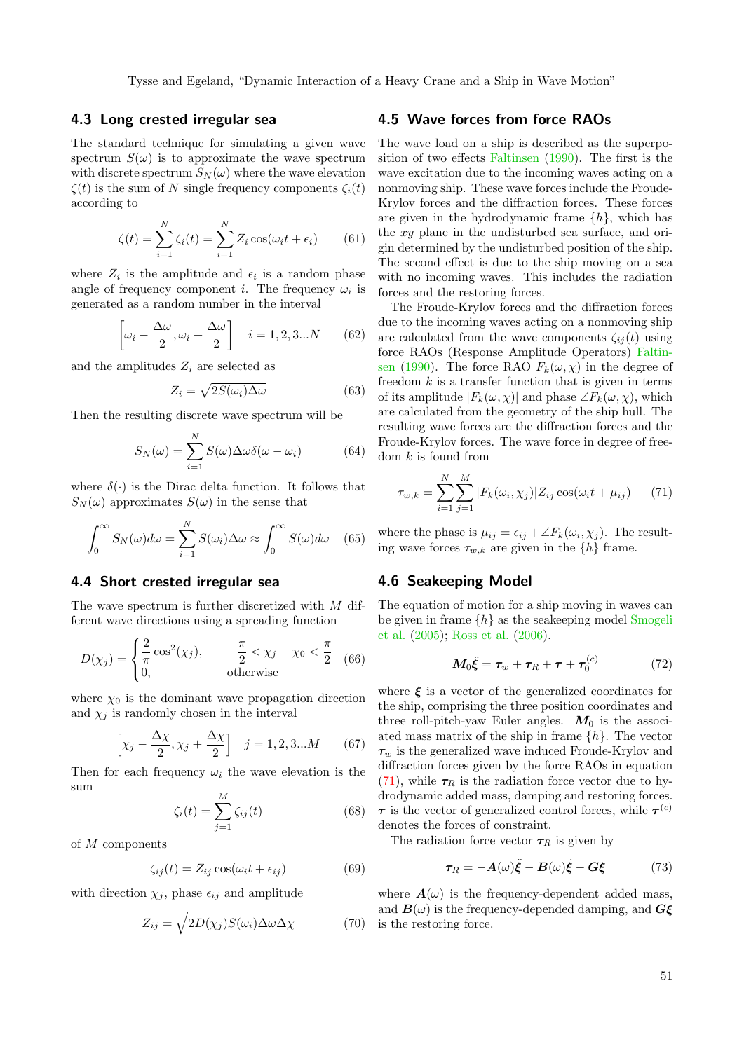#### 4.3 Long crested irregular sea

The standard technique for simulating a given wave spectrum  $S(\omega)$  is to approximate the wave spectrum with discrete spectrum  $S_N(\omega)$  where the wave elevation  $\zeta(t)$  is the sum of N single frequency components  $\zeta_i(t)$ according to

$$
\zeta(t) = \sum_{i=1}^{N} \zeta_i(t) = \sum_{i=1}^{N} Z_i \cos(\omega_i t + \epsilon_i)
$$
 (61)

where  $Z_i$  is the amplitude and  $\epsilon_i$  is a random phase angle of frequency component *i*. The frequency  $\omega_i$  is generated as a random number in the interval

$$
\left[\omega_i - \frac{\Delta\omega}{2}, \omega_i + \frac{\Delta\omega}{2}\right] \quad i = 1, 2, 3...N \tag{62}
$$

and the amplitudes  $Z_i$  are selected as

$$
Z_i = \sqrt{2S(\omega_i)\Delta\omega} \tag{63}
$$

Then the resulting discrete wave spectrum will be

$$
S_N(\omega) = \sum_{i=1}^N S(\omega) \Delta \omega \delta(\omega - \omega_i)
$$
 (64)

where  $\delta(\cdot)$  is the Dirac delta function. It follows that  $S_N(\omega)$  approximates  $S(\omega)$  in the sense that

$$
\int_0^\infty S_N(\omega)d\omega = \sum_{i=1}^N S(\omega_i)\Delta\omega \approx \int_0^\infty S(\omega)d\omega \quad (65)
$$

#### 4.4 Short crested irregular sea

The wave spectrum is further discretized with M different wave directions using a spreading function

$$
D(\chi_j) = \begin{cases} \frac{2}{\pi} \cos^2(\chi_j), & -\frac{\pi}{2} < \chi_j - \chi_0 < \frac{\pi}{2} \\ 0, & \text{otherwise} \end{cases}
$$
 (66)

where  $\chi_0$  is the dominant wave propagation direction and  $\chi_i$  is randomly chosen in the interval

$$
\left[\chi_j - \frac{\Delta \chi}{2}, \chi_j + \frac{\Delta \chi}{2}\right] \quad j = 1, 2, 3...M \tag{67}
$$

Then for each frequency  $\omega_i$  the wave elevation is the sum  $\overline{M}$ 

$$
\zeta_i(t) = \sum_{j=1}^M \zeta_{ij}(t) \tag{68}
$$

of M components

$$
\zeta_{ij}(t) = Z_{ij} \cos(\omega_i t + \epsilon_{ij}) \tag{69}
$$

with direction  $\chi_j$ , phase  $\epsilon_{ij}$  and amplitude

$$
Z_{ij} = \sqrt{2D(\chi_j)S(\omega_i)\Delta\omega\Delta\chi}
$$
 (70)

## 4.5 Wave forces from force RAOs

The wave load on a ship is described as the superposition of two effects [Faltinsen](#page-14-10) [\(1990\)](#page-14-10). The first is the wave excitation due to the incoming waves acting on a nonmoving ship. These wave forces include the Froude-Krylov forces and the diffraction forces. These forces are given in the hydrodynamic frame  $\{h\}$ , which has the xy plane in the undisturbed sea surface, and origin determined by the undisturbed position of the ship. The second effect is due to the ship moving on a sea with no incoming waves. This includes the radiation forces and the restoring forces.

The Froude-Krylov forces and the diffraction forces due to the incoming waves acting on a nonmoving ship are calculated from the wave components  $\zeta_{ij}(t)$  using force RAOs (Response Amplitude Operators) [Faltin](#page-14-10)[sen](#page-14-10) [\(1990\)](#page-14-10). The force RAO  $F_k(\omega, \chi)$  in the degree of freedom  $k$  is a transfer function that is given in terms of its amplitude  $|F_k(\omega, \chi)|$  and phase  $\angle F_k(\omega, \chi)$ , which are calculated from the geometry of the ship hull. The resulting wave forces are the diffraction forces and the Froude-Krylov forces. The wave force in degree of freedom  $k$  is found from

<span id="page-6-0"></span>
$$
\tau_{w,k} = \sum_{i=1}^{N} \sum_{j=1}^{M} |F_k(\omega_i, \chi_j)| Z_{ij} \cos(\omega_i t + \mu_{ij}) \qquad (71)
$$

where the phase is  $\mu_{ij} = \epsilon_{ij} + \angle F_k(\omega_i, \chi_j)$ . The resulting wave forces  $\tau_{w,k}$  are given in the  $\{h\}$  frame.

#### 4.6 Seakeeping Model

The equation of motion for a ship moving in waves can be given in frame  $\{h\}$  as the seakeeping model [Smogeli](#page-15-10) [et al.](#page-15-10) [\(2005\)](#page-15-10); [Ross et al.](#page-15-11) [\(2006\)](#page-15-11).

$$
M_0\ddot{\xi} = \tau_w + \tau_R + \tau + \tau_0^{(c)} \tag{72}
$$

where  $\xi$  is a vector of the generalized coordinates for the ship, comprising the three position coordinates and three roll-pitch-yaw Euler angles.  $M_0$  is the associated mass matrix of the ship in frame  $\{h\}$ . The vector  $\tau_w$  is the generalized wave induced Froude-Krylov and diffraction forces given by the force RAOs in equation [\(71\)](#page-6-0), while  $\tau_R$  is the radiation force vector due to hydrodynamic added mass, damping and restoring forces.  $\tau$  is the vector of generalized control forces, while  $\tau^{(c)}$ denotes the forces of constraint.

The radiation force vector  $\tau_R$  is given by

<span id="page-6-1"></span>
$$
\tau_R = -A(\omega)\ddot{\xi} - B(\omega)\dot{\xi} - G\xi \tag{73}
$$

where  $A(\omega)$  is the frequency-dependent added mass, and  $B(\omega)$  is the frequency-depended damping, and  $G\xi$ is the restoring force.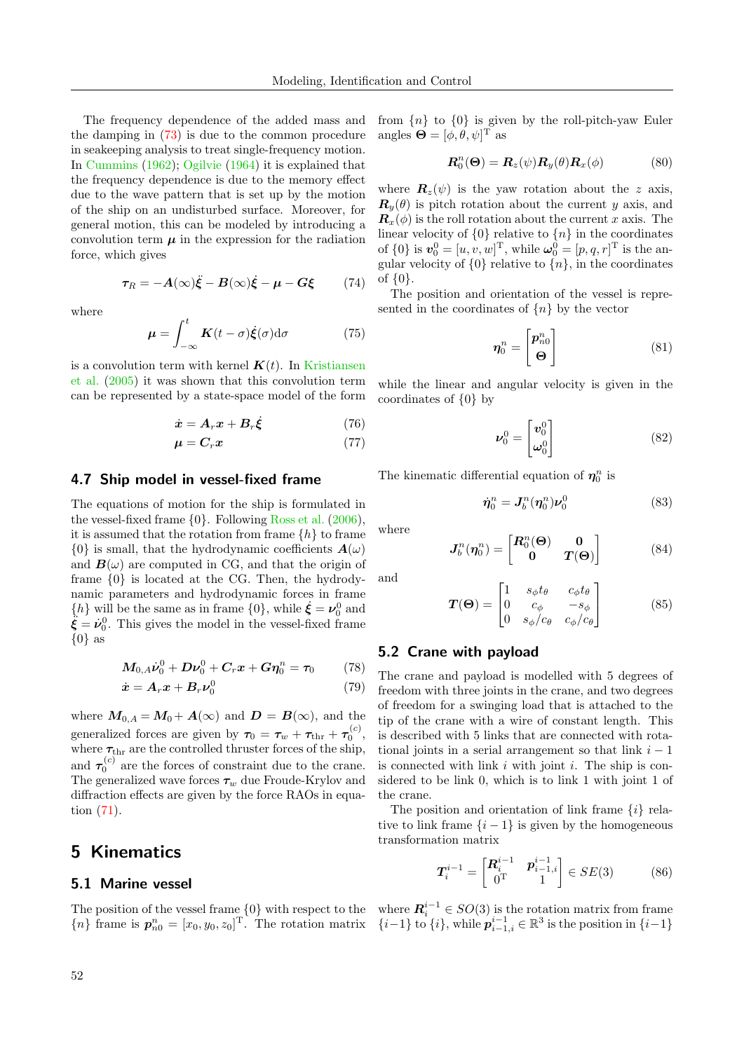The frequency dependence of the added mass and the damping in [\(73\)](#page-6-1) is due to the common procedure in seakeeping analysis to treat single-frequency motion. In [Cummins](#page-14-11) [\(1962\)](#page-14-11); [Ogilvie](#page-15-12) [\(1964\)](#page-15-12) it is explained that the frequency dependence is due to the memory effect due to the wave pattern that is set up by the motion of the ship on an undisturbed surface. Moreover, for general motion, this can be modeled by introducing a convolution term  $\mu$  in the expression for the radiation force, which gives

$$
\boldsymbol{\tau}_R = -\boldsymbol{A}(\infty)\ddot{\boldsymbol{\xi}} - \boldsymbol{B}(\infty)\dot{\boldsymbol{\xi}} - \boldsymbol{\mu} - \boldsymbol{G}\boldsymbol{\xi} \qquad (74)
$$

where

$$
\mu = \int_{-\infty}^{t} \mathbf{K}(t - \sigma) \dot{\xi}(\sigma) d\sigma \qquad (75)
$$

is a convolution term with kernel  $K(t)$ . In [Kristiansen](#page-15-13) [et al.](#page-15-13) [\(2005\)](#page-15-13) it was shown that this convolution term can be represented by a state-space model of the form

$$
\dot{\boldsymbol{x}} = \boldsymbol{A}_r \boldsymbol{x} + \boldsymbol{B}_r \dot{\boldsymbol{\xi}} \tag{76}
$$

$$
\boldsymbol{\mu} = \boldsymbol{C}_r \boldsymbol{x} \tag{77}
$$

#### 4.7 Ship model in vessel-fixed frame

The equations of motion for the ship is formulated in the vessel-fixed frame {0}. Following [Ross et al.](#page-15-11) [\(2006\)](#page-15-11), it is assumed that the rotation from frame  $\{h\}$  to frame  $\{0\}$  is small, that the hydrodynamic coefficients  $\mathbf{A}(\omega)$ and  $\mathbf{B}(\omega)$  are computed in CG, and that the origin of frame {0} is located at the CG. Then, the hydrodynamic parameters and hydrodynamic forces in frame  $\{h\}$  will be the same as in frame  $\{0\}$ , while  $\dot{\xi} = \nu_0^0$  and  $\ddot{\xi} = \dot{\nu}_0^0$ . This gives the model in the vessel-fixed frame  $\{0\}$  as

$$
M_{0,A}\dot{\nu}_0^0 + D\nu_0^0 + C_r x + G\eta_0^n = \tau_0 \qquad (78)
$$

$$
\dot{\boldsymbol{x}} = \boldsymbol{A}_r \boldsymbol{x} + \boldsymbol{B}_r \boldsymbol{\nu}_0^0 \tag{79}
$$

where  $M_{0,A} = M_0 + A(\infty)$  and  $D = B(\infty)$ , and the generalized forces are given by  $\tau_0 = \tau_w + \tau_{\text{thr}} + \tau_0^{(c)}$ , where  $\tau_{\text{thr}}$  are the controlled thruster forces of the ship, and  $\tau_0^{(c)}$  are the forces of constraint due to the crane. The generalized wave forces  $\tau_w$  due Froude-Krylov and diffraction effects are given by the force RAOs in equation [\(71\)](#page-6-0).

# 5 Kinematics

## 5.1 Marine vessel

The position of the vessel frame {0} with respect to the  ${n}$  frame is  $p_{n0}^{n} = [x_0, y_0, z_0]^{\text{T}}$ . The rotation matrix from  ${n}$  to  ${0}$  is given by the roll-pitch-yaw Euler angles  $\mathbf{\Theta} = [\phi, \theta, \psi]^\text{T}$  as

$$
\boldsymbol{R}_0^n(\boldsymbol{\Theta}) = \boldsymbol{R}_z(\psi) \boldsymbol{R}_y(\theta) \boldsymbol{R}_x(\phi) \tag{80}
$$

where  $\mathbf{R}_z(\psi)$  is the yaw rotation about the z axis,  $\mathbf{R}_y(\theta)$  is pitch rotation about the current y axis, and  $\mathbf{R}_x(\phi)$  is the roll rotation about the current x axis. The linear velocity of  $\{0\}$  relative to  $\{n\}$  in the coordinates of  $\{0\}$  is  $\mathbf{v}_0^0 = [u, v, w]^\mathrm{T}$ , while  $\boldsymbol{\omega}_0^0 = [p, q, r]^\mathrm{T}$  is the angular velocity of  $\{0\}$  relative to  $\{n\}$ , in the coordinates of {0}.

The position and orientation of the vessel is represented in the coordinates of  $\{n\}$  by the vector

$$
\boldsymbol{\eta}_0^n = \begin{bmatrix} \boldsymbol{p}_{n0}^n \\ \boldsymbol{\Theta} \end{bmatrix} \tag{81}
$$

while the linear and angular velocity is given in the coordinates of {0} by

$$
\nu_0^0 = \begin{bmatrix} v_0^0 \\ \omega_0^0 \end{bmatrix} \tag{82}
$$

The kinematic differential equation of  $\eta_0^n$  is

$$
\dot{\boldsymbol{\eta}}_0^n = \boldsymbol{J}_b^n(\boldsymbol{\eta}_0^n)\boldsymbol{\nu}_0^0 \tag{83}
$$

where

and

$$
\boldsymbol{J}_{b}^{n}(\boldsymbol{\eta}_{0}^{n}) = \begin{bmatrix} \boldsymbol{R}_{0}^{n}(\boldsymbol{\Theta}) & \boldsymbol{0} \\ \boldsymbol{0} & \boldsymbol{T}(\boldsymbol{\Theta}) \end{bmatrix}
$$
(84)

$$
\begin{bmatrix} 1 & s_{\phi} t_{\theta} & c_{\phi} t_{\theta} \end{bmatrix}
$$

$$
\boldsymbol{T}(\boldsymbol{\Theta}) = \begin{bmatrix} 0 & c_{\phi} & -s_{\phi} \\ 0 & s_{\phi}/c_{\theta} & c_{\phi}/c_{\theta} \end{bmatrix} \tag{85}
$$

#### 5.2 Crane with payload

The crane and payload is modelled with 5 degrees of freedom with three joints in the crane, and two degrees of freedom for a swinging load that is attached to the tip of the crane with a wire of constant length. This is described with 5 links that are connected with rotational joints in a serial arrangement so that link  $i - 1$ is connected with link  $i$  with joint  $i$ . The ship is considered to be link 0, which is to link 1 with joint 1 of the crane.

The position and orientation of link frame  $\{i\}$  relative to link frame  $\{i-1\}$  is given by the homogeneous transformation matrix

$$
T_i^{i-1} = \begin{bmatrix} R_i^{i-1} & p_{i-1,i}^{i-1} \\ 0^T & 1 \end{bmatrix} \in SE(3)
$$
 (86)

where  $\mathbf{R}_{i}^{i-1} \in SO(3)$  is the rotation matrix from frame  $\{i-1\}$  to  $\{i\}$ , while  $p_{i-1,i}^{i-1} \in \mathbb{R}^3$  is the position in  $\{i-1\}$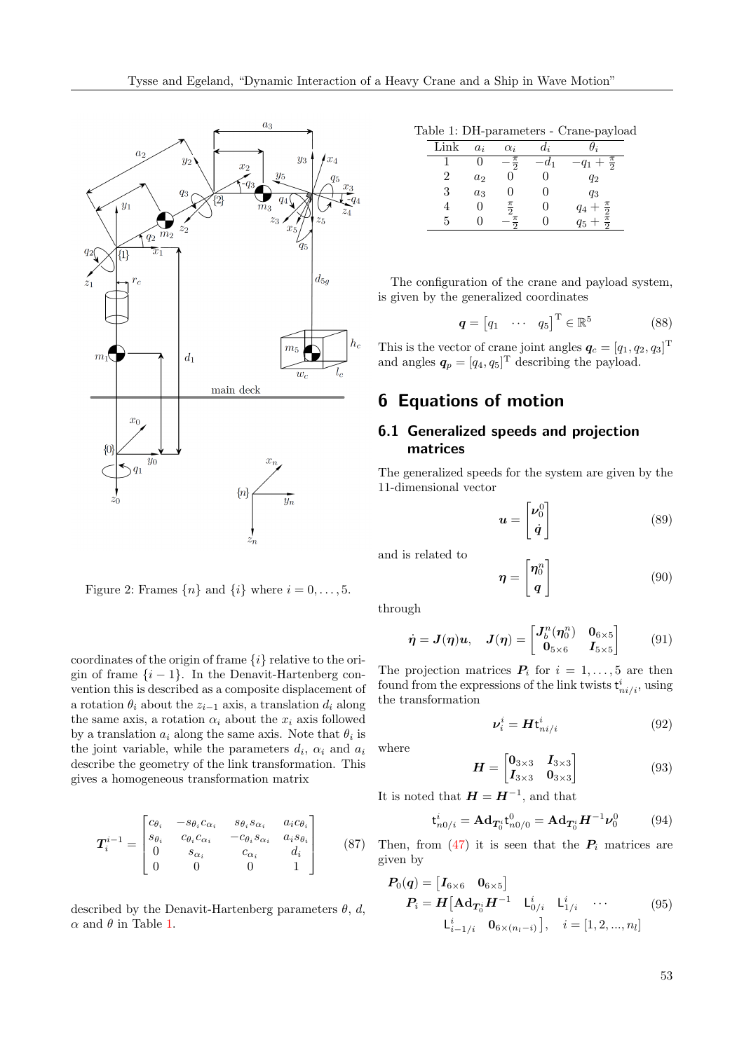

Figure 2: Frames  $\{n\}$  and  $\{i\}$  where  $i = 0, \ldots, 5$ .

coordinates of the origin of frame  $\{i\}$  relative to the origin of frame  $\{i-1\}$ . In the Denavit-Hartenberg convention this is described as a composite displacement of a rotation  $\theta_i$  about the  $z_{i-1}$  axis, a translation  $d_i$  along the same axis, a rotation  $\alpha_i$  about the  $x_i$  axis followed by a translation  $a_i$  along the same axis. Note that  $\theta_i$  is the joint variable, while the parameters  $d_i$ ,  $\alpha_i$  and  $a_i$ describe the geometry of the link transformation. This gives a homogeneous transformation matrix

$$
\boldsymbol{T}_{i}^{i-1} = \begin{bmatrix} c_{\theta_{i}} & -s_{\theta_{i}}c_{\alpha_{i}} & s_{\theta_{i}}s_{\alpha_{i}} & a_{i}c_{\theta_{i}} \\ s_{\theta_{i}} & c_{\theta_{i}}c_{\alpha_{i}} & -c_{\theta_{i}}s_{\alpha_{i}} & a_{i}s_{\theta_{i}} \\ 0 & s_{\alpha_{i}} & c_{\alpha_{i}} & d_{i} \\ 0 & 0 & 0 & 1 \end{bmatrix}
$$
 (87)

described by the Denavit-Hartenberg parameters  $\theta$ , d,  $\alpha$  and  $\theta$  in Table [1.](#page-8-0)

<span id="page-8-0"></span>Table 1: DH-parameters - Crane-payload

| Link | $a_i$ | $\alpha_i$      | $a_{\cdot i}$ |                                                |
|------|-------|-----------------|---------------|------------------------------------------------|
|      | 0     | $\frac{\pi}{2}$ | d1            | $q_1 + \frac{\pi}{2}$                          |
| 2    | $a_2$ |                 |               | $q_2$                                          |
| 3    | $a_3$ | 0               | ''            | $q_3$                                          |
|      | 0     | $\frac{\pi}{2}$ |               |                                                |
| 5    |       | $\pi$           |               | $q_4 + \frac{\pi}{2}$<br>$q_5 + \frac{\pi}{2}$ |

The configuration of the crane and payload system, is given by the generalized coordinates

$$
\boldsymbol{q} = \begin{bmatrix} q_1 & \cdots & q_5 \end{bmatrix}^\mathrm{T} \in \mathbb{R}^5 \tag{88}
$$

This is the vector of crane joint angles  $q_c = [q_1, q_2, q_3]^T$ and angles  $q_p = [q_4, q_5]^T$  describing the payload.

# 6 Equations of motion

# 6.1 Generalized speeds and projection matrices

The generalized speeds for the system are given by the 11-dimensional vector

$$
\boldsymbol{u} = \begin{bmatrix} \boldsymbol{\nu}_0^0 \\ \dot{\boldsymbol{q}} \end{bmatrix} \tag{89}
$$

and is related to

$$
\boldsymbol{\eta} = \begin{bmatrix} \boldsymbol{\eta}_0^n \\ \boldsymbol{q} \end{bmatrix} \tag{90}
$$

through

$$
\dot{\boldsymbol{\eta}} = \boldsymbol{J}(\boldsymbol{\eta})\boldsymbol{u}, \quad \boldsymbol{J}(\boldsymbol{\eta}) = \begin{bmatrix} \boldsymbol{J}_b^n(\boldsymbol{\eta}_0^n) & \boldsymbol{0}_{6\times 5} \\ \boldsymbol{0}_{5\times 6} & \boldsymbol{I}_{5\times 5} \end{bmatrix}
$$
(91)

The projection matrices  $P_i$  for  $i = 1, \ldots, 5$  are then found from the expressions of the link twists  $\mathbf{t}_{ni/i}^i$ , using the transformation

$$
\nu_i^i = H t_{ni/i}^i \tag{92}
$$

where

$$
\boldsymbol{H} = \begin{bmatrix} \mathbf{0}_{3 \times 3} & \mathbf{I}_{3 \times 3} \\ \mathbf{I}_{3 \times 3} & \mathbf{0}_{3 \times 3} \end{bmatrix} \tag{93}
$$

It is noted that  $H = H^{-1}$ , and that

$$
\mathbf{t}_{n0/i}^{i} = \mathbf{A} \mathbf{d}_{\mathbf{T}_{0}^{i}} \mathbf{t}_{n0/0}^{0} = \mathbf{A} \mathbf{d}_{\mathbf{T}_{0}^{i}} \mathbf{H}^{-1} \mathbf{\nu}_{0}^{0} \tag{94}
$$

Then, from [\(47\)](#page-4-1) it is seen that the  $P_i$  matrices are given by

$$
P_0(q) = [I_{6 \times 6} \quad 0_{6 \times 5}]
$$
  
\n
$$
P_i = H[A \mathbf{d}_{T_0^i} H^{-1} \quad \mathsf{L}_{0/i}^i \quad \mathsf{L}_{1/i}^i \quad \cdots \quad (95)
$$
  
\n
$$
\mathsf{L}_{i-1/i}^i \quad 0_{6 \times (n_l - i)}], \quad i = [1, 2, ..., n_l]
$$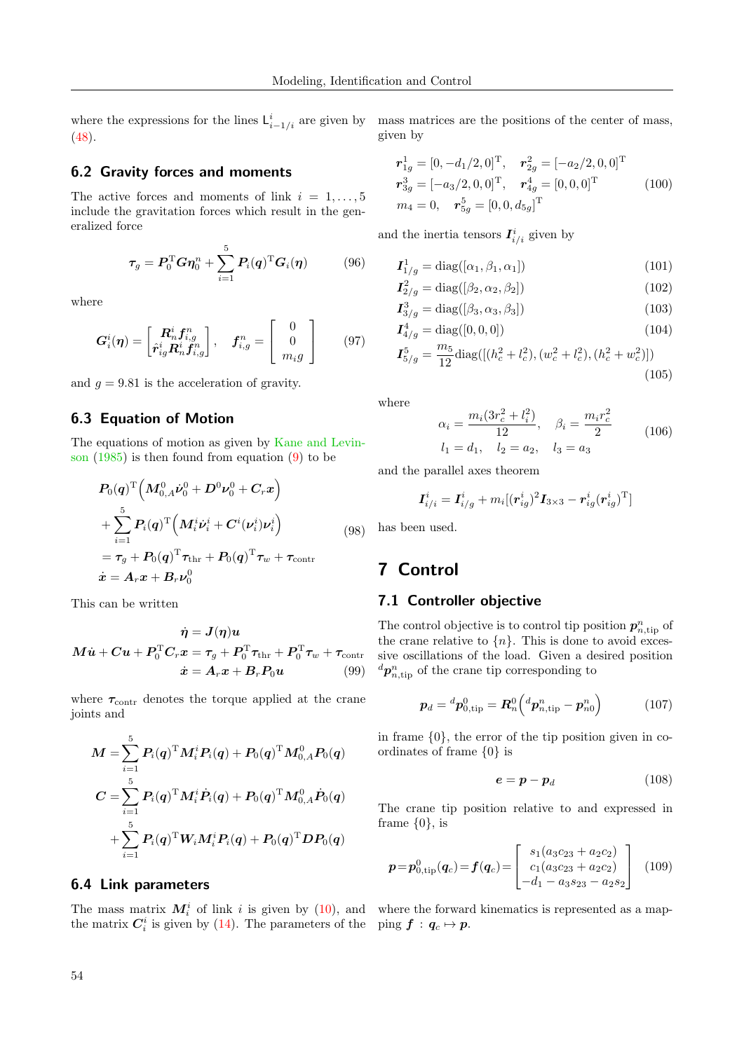where the expressions for the lines  $\mathsf{L}_{i-1/i}^i$  are given by mass matrices are the positions of the center of mass, [\(48\)](#page-4-2).

#### 6.2 Gravity forces and moments

The active forces and moments of link  $i = 1, \ldots, 5$ include the gravitation forces which result in the generalized force

$$
\boldsymbol{\tau}_g = \boldsymbol{P}_0^{\mathrm{T}} \boldsymbol{G} \boldsymbol{\eta}_0^n + \sum_{i=1}^5 \boldsymbol{P}_i(\boldsymbol{q})^{\mathrm{T}} \boldsymbol{G}_i(\boldsymbol{\eta}) \qquad (96)
$$

where

$$
\boldsymbol{G}_i^i(\boldsymbol{\eta}) = \begin{bmatrix} \boldsymbol{R}_n^i \boldsymbol{f}_{i,g}^n \\ \hat{\boldsymbol{r}}_{ig}^i \boldsymbol{R}_n^i \boldsymbol{f}_{i,g}^n \end{bmatrix}, \quad \boldsymbol{f}_{i,g}^n = \begin{bmatrix} 0 \\ 0 \\ m_i g \end{bmatrix}
$$
(97)

and  $q = 9.81$  is the acceleration of gravity.

#### 6.3 Equation of Motion

The equations of motion as given by [Kane and Levin](#page-15-4)[son](#page-15-4) [\(1985\)](#page-15-4) is then found from equation [\(9\)](#page-2-4) to be

$$
P_0(q)^{\mathrm{T}} \Big( M_{0,A}^0 \dot{\nu}_0^0 + D^0 \nu_0^0 + C_r x \Big) + \sum_{i=1}^5 P_i(q)^{\mathrm{T}} \Big( M_i^i \dot{\nu}_i^i + C^i(\nu_i^i) \nu_i^i \Big) = \tau_g + P_0(q)^{\mathrm{T}} \tau_{\text{thr}} + P_0(q)^{\mathrm{T}} \tau_w + \tau_{\text{contr}} \n\dot{x} = A_r x + B_r \nu_0^0
$$
 (98)

This can be written

$$
\dot{\eta} = J(\eta)u
$$
  

$$
M\dot{u} + Cu + P_0^{\mathrm{T}}C_r x = \tau_g + P_0^{\mathrm{T}}\tau_{\mathrm{thr}} + P_0^{\mathrm{T}}\tau_w + \tau_{\mathrm{contr}}
$$
  

$$
\dot{x} = A_rx + B_rP_0u
$$
 (99)

where  $\tau_{\text{contr}}$  denotes the torque applied at the crane joints and

$$
\begin{aligned} \boldsymbol{M} = & \sum_{i=1}^{5} \boldsymbol{P}_{\!i}(\boldsymbol{q})^{\mathrm{T}} \boldsymbol{M}_{\!i}^i \boldsymbol{P}_{\!i}(\boldsymbol{q}) + \boldsymbol{P}_{\!0}(\boldsymbol{q})^{\mathrm{T}} \boldsymbol{M}_{\!0,A}^0 \boldsymbol{P}_{\!0}(\boldsymbol{q}) \\ \boldsymbol{C} = & \sum_{i=1}^{5} \boldsymbol{P}_{\!i}(\boldsymbol{q})^{\mathrm{T}} \boldsymbol{M}_{\!i}^i \dot{\boldsymbol{P}}_{\!i}(\boldsymbol{q}) + \boldsymbol{P}_{\!0}(\boldsymbol{q})^{\mathrm{T}} \boldsymbol{M}_{\!0,A}^0 \dot{\boldsymbol{P}}_{\!0}(\boldsymbol{q}) \\ + & \sum_{i=1}^{5} \boldsymbol{P}_{\!i}(\boldsymbol{q})^{\mathrm{T}} \boldsymbol{W}_{\!i} \boldsymbol{M}_{\!i}^i \boldsymbol{P}_{\!i}(\boldsymbol{q}) + \boldsymbol{P}_{\!0}(\boldsymbol{q})^{\mathrm{T}} \boldsymbol{D} \boldsymbol{P}_{\!0}(\boldsymbol{q}) \end{aligned}
$$

#### 6.4 Link parameters

The mass matrix  $M_i^i$  of link i is given by [\(10\)](#page-2-5), and where the forward kinematics is represented as a mapthe matrix  $C_i^i$  is given by [\(14\)](#page-2-6). The parameters of the ping  $f : q_c \mapsto p$ .

given by

<span id="page-9-3"></span>
$$
\mathbf{r}_{1g}^{1} = [0, -d_{1}/2, 0]^{\mathrm{T}}, \quad \mathbf{r}_{2g}^{2} = [-a_{2}/2, 0, 0]^{\mathrm{T}} \n\mathbf{r}_{3g}^{3} = [-a_{3}/2, 0, 0]^{\mathrm{T}}, \quad \mathbf{r}_{4g}^{4} = [0, 0, 0]^{\mathrm{T}} \nm_{4} = 0, \quad \mathbf{r}_{5g}^{5} = [0, 0, d_{5g}]^{\mathrm{T}}
$$
\n(100)

and the inertia tensors  $I_{i/i}^i$  given by

$$
\boldsymbol{I}_{1/g}^1 = \text{diag}([\alpha_1, \beta_1, \alpha_1]) \tag{101}
$$

$$
I_{2/g}^2 = \text{diag}([\beta_2, \alpha_2, \beta_2])
$$
 (102)

$$
I_{3/g}^3 = \text{diag}([\beta_3, \alpha_3, \beta_3])
$$
 (103)

$$
\mathbf{I}_{4/g}^4 = \text{diag}([0, 0, 0]) \tag{104}
$$

$$
\mathbf{I}_{5/g}^5 = \frac{m_5}{12} \text{diag}([(h_c^2 + l_c^2), (w_c^2 + l_c^2), (h_c^2 + w_c^2)])
$$
\n(105)

where

$$
\alpha_i = \frac{m_i(3r_c^2 + l_i^2)}{12}, \quad \beta_i = \frac{m_i r_c^2}{2}
$$
\n
$$
l_1 = d_1, \quad l_2 = a_2, \quad l_3 = a_3
$$
\n(106)

and the parallel axes theorem

$$
\boldsymbol{I}^i_{i/i} = \boldsymbol{I}^i_{i/g} + m_i[(\boldsymbol{r}^i_{ig})^2\boldsymbol{I}_{3\times 3} - \boldsymbol{r}^i_{ig}(\boldsymbol{r}^i_{ig})^{\text{T}}]
$$

has been used.

# 7 Control

## 7.1 Controller objective

<span id="page-9-0"></span>The control objective is to control tip position  $p_{n,\text{tip}}^n$  of the crane relative to  $\{n\}$ . This is done to avoid excessive oscillations of the load. Given a desired position  ${}^d{\bm p}_{n,\text{tip}}^n$  of the crane tip corresponding to

<span id="page-9-2"></span>
$$
\boldsymbol{p}_d = {}^d{\boldsymbol{p}}_{0,\text{tip}}^0 = \boldsymbol{R}_n^0 \left( {}^d{\boldsymbol{p}}_{n,\text{tip}}^n - {\boldsymbol{p}}_{n0}^n \right) \tag{107}
$$

in frame {0}, the error of the tip position given in coordinates of frame {0} is

$$
e = p - p_d \tag{108}
$$

The crane tip position relative to and expressed in frame  $\{0\}$ , is

<span id="page-9-1"></span>
$$
\boldsymbol{p} = \boldsymbol{p}_{0,\text{tip}}^0(\boldsymbol{q}_c) = \boldsymbol{f}(\boldsymbol{q}_c) = \begin{bmatrix} s_1(a_3c_{23} + a_2c_2) \\ c_1(a_3c_{23} + a_2c_2) \\ -d_1 - a_3s_{23} - a_2s_2 \end{bmatrix} \tag{109}
$$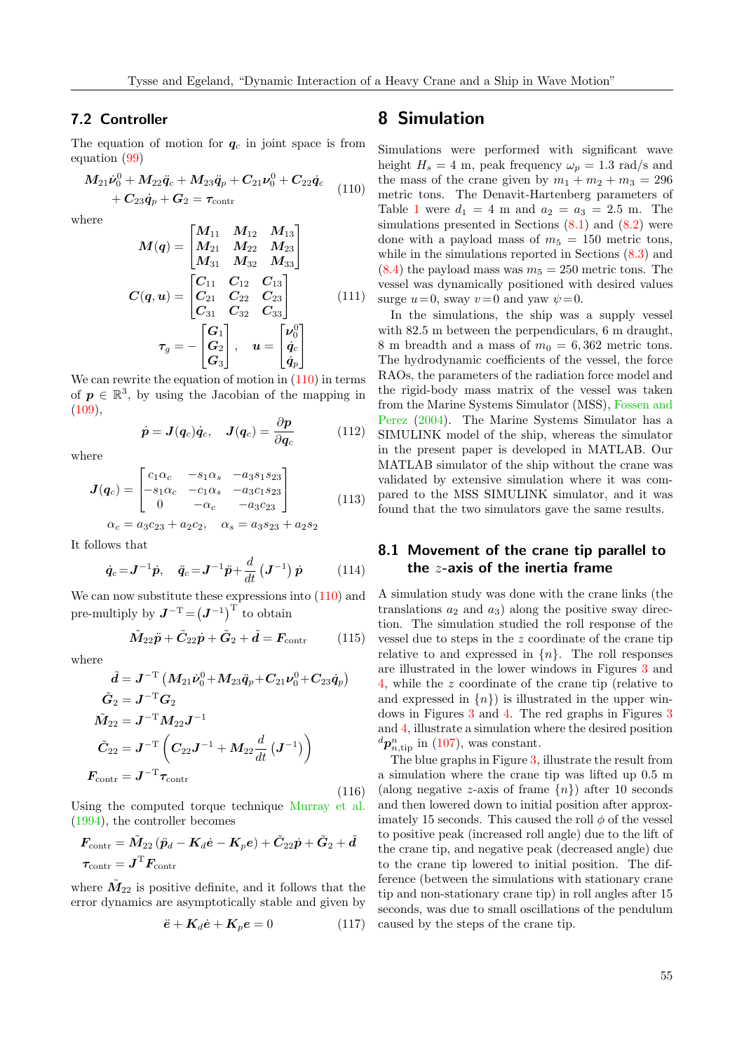## 7.2 Controller

The equation of motion for  $q_c$  in joint space is from equation [\(99\)](#page-9-0)

<span id="page-10-0"></span>
$$
M_{21}\dot{\nu}_0^0 + M_{22}\ddot{q}_c + M_{23}\ddot{q}_p + C_{21}\nu_0^0 + C_{22}\dot{q}_c + C_{23}\dot{q}_p + G_2 = \tau_{\text{contr}}
$$
\n(110)

where

$$
M(q) = \begin{bmatrix} M_{11} & M_{12} & M_{13} \\ M_{21} & M_{22} & M_{23} \\ M_{31} & M_{32} & M_{33} \end{bmatrix}
$$

$$
C(q, u) = \begin{bmatrix} C_{11} & C_{12} & C_{13} \\ C_{21} & C_{22} & C_{23} \\ C_{31} & C_{32} & C_{33} \end{bmatrix}
$$
(111)
$$
\tau_g = -\begin{bmatrix} G_1 \\ G_2 \\ G_3 \end{bmatrix}, \quad u = \begin{bmatrix} \nu_0^0 \\ \dot{q}_c \\ \dot{q}_p \end{bmatrix}
$$

We can rewrite the equation of motion in  $(110)$  in terms of  $p \in \mathbb{R}^3$ , by using the Jacobian of the mapping in  $(109)$ ,

$$
\dot{\boldsymbol{p}} = \boldsymbol{J}(\boldsymbol{q}_c)\dot{\boldsymbol{q}}_c, \quad \boldsymbol{J}(\boldsymbol{q}_c) = \frac{\partial \boldsymbol{p}}{\partial \boldsymbol{q}_c} \tag{112}
$$

where

$$
J(q_c) = \begin{bmatrix} c_1 \alpha_c & -s_1 \alpha_s & -a_3 s_1 s_{23} \\ -s_1 \alpha_c & -c_1 \alpha_s & -a_3 c_1 s_{23} \\ 0 & -\alpha_c & -a_3 c_{23} \end{bmatrix}
$$
(113)

 $\alpha_c = a_3c_{23} + a_2c_2$ ,  $\alpha_s = a_3s_{23} + a_2s_2$ 

It follows that

$$
\dot{q}_c = \mathbf{J}^{-1} \dot{p}, \quad \ddot{q}_c = \mathbf{J}^{-1} \ddot{p} + \frac{d}{dt} (\mathbf{J}^{-1}) \dot{p}
$$
\n(114)

We can now substitute these expressions into  $(110)$  and pre-multiply by  $J^{-T} = (J^{-1})^{T}$  to obtain

$$
\tilde{M}_{22}\ddot{p} + \tilde{C}_{22}\dot{p} + \tilde{G}_2 + \tilde{d} = F_{\text{contr}} \qquad (115)
$$

where

$$
\begin{aligned} \tilde{\bm{d}} &= \bm{J}^{-\mathrm{T}} \left( M_{21} \dot{\bm{\nu}}_0^0 \!+\! M_{23} \ddot{\bm{q}}_p \!+\! C_{21} \bm{\nu}_0^0 \!+\! C_{23} \dot{\bm{q}}_p \right) \\ \tilde{\bm{G}}_2 &= \bm{J}^{-\mathrm{T}} \bm{G}_2 \\ \tilde{M}_{22} &= \bm{J}^{-\mathrm{T}} \bm{M}_{22} \bm{J}^{-1} \\ \tilde{C}_{22} &= \bm{J}^{-\mathrm{T}} \left( C_{22} \bm{J}^{-1} + \bm{M}_{22} \frac{d}{dt} \left( \bm{J}^{-1} \right) \right) \\ \bm{F}_{\mathrm{contr}} &= \bm{J}^{-\mathrm{T}} \bm{\tau}_{\mathrm{contr}} \end{aligned}
$$

(116)

Using the computed torque technique [Murray et al.](#page-15-7) [\(1994\)](#page-15-7), the controller becomes

$$
\begin{aligned} &\pmb{F}_{\mathrm{contr}} = \tilde{\pmb{M}}_{22}\left(\ddot{\pmb{p}}_{d} - \pmb{K}_{d}\dot{\pmb{e}} - \pmb{K}_{p}\pmb{e}\right) + \tilde{\pmb{C}}_{22}\dot{\pmb{p}} + \tilde{\pmb{G}}_{2} + \tilde{\pmb{d}} \\ &\pmb{\tau}_{\mathrm{contr}} = \pmb{J}^{\mathrm{T}}\pmb{F}_{\mathrm{contr}} \end{aligned}
$$

where  $\tilde{M}_{22}$  is positive definite, and it follows that the error dynamics are asymptotically stable and given by

$$
\ddot{e} + K_d \dot{e} + K_p e = 0 \tag{117}
$$

# 8 Simulation

Simulations were performed with significant wave height  $H_s = 4$  m, peak frequency  $\omega_p = 1.3$  rad/s and the mass of the crane given by  $m_1 + m_2 + m_3 = 296$ metric tons. The Denavit-Hartenberg parameters of Table [1](#page-8-0) were  $d_1 = 4$  m and  $a_2 = a_3 = 2.5$  m. The simulations presented in Sections  $(8.1)$  and  $(8.2)$  were done with a payload mass of  $m_5 = 150$  metric tons, while in the simulations reported in Sections  $(8.3)$  and  $(8.4)$  the payload mass was  $m_5 = 250$  metric tons. The vessel was dynamically positioned with desired values surge  $u=0$ , sway  $v=0$  and yaw  $\psi=0$ .

In the simulations, the ship was a supply vessel with 82.5 m between the perpendiculars, 6 m draught, 8 m breadth and a mass of  $m_0 = 6,362$  metric tons. The hydrodynamic coefficients of the vessel, the force RAOs, the parameters of the radiation force model and the rigid-body mass matrix of the vessel was taken from the Marine Systems Simulator (MSS), [Fossen and](#page-14-12) [Perez](#page-14-12) [\(2004\)](#page-14-12). The Marine Systems Simulator has a SIMULINK model of the ship, whereas the simulator in the present paper is developed in MATLAB. Our MATLAB simulator of the ship without the crane was validated by extensive simulation where it was compared to the MSS SIMULINK simulator, and it was found that the two simulators gave the same results.

## <span id="page-10-1"></span>8.1 Movement of the crane tip parallel to the  $z$ -axis of the inertia frame

A simulation study was done with the crane links (the translations  $a_2$  and  $a_3$ ) along the positive sway direction. The simulation studied the roll response of the vessel due to steps in the z coordinate of the crane tip relative to and expressed in  $\{n\}$ . The roll responses are illustrated in the lower windows in Figures [3](#page-11-2) and [4,](#page-11-3) while the z coordinate of the crane tip (relative to and expressed in  $\{n\}$  is illustrated in the upper windows in Figures [3](#page-11-2) and [4.](#page-11-3) The red graphs in Figures [3](#page-11-2) and [4,](#page-11-3) illustrate a simulation where the desired position  ${}^d\mathbf{p}^n_{n,\text{tip}}$  in [\(107\)](#page-9-2), was constant.

The blue graphs in Figure [3,](#page-11-2) illustrate the result from a simulation where the crane tip was lifted up 0.5 m (along negative z-axis of frame  $\{n\}$ ) after 10 seconds and then lowered down to initial position after approximately 15 seconds. This caused the roll  $\phi$  of the vessel to positive peak (increased roll angle) due to the lift of the crane tip, and negative peak (decreased angle) due to the crane tip lowered to initial position. The difference (between the simulations with stationary crane tip and non-stationary crane tip) in roll angles after 15 seconds, was due to small oscillations of the pendulum caused by the steps of the crane tip.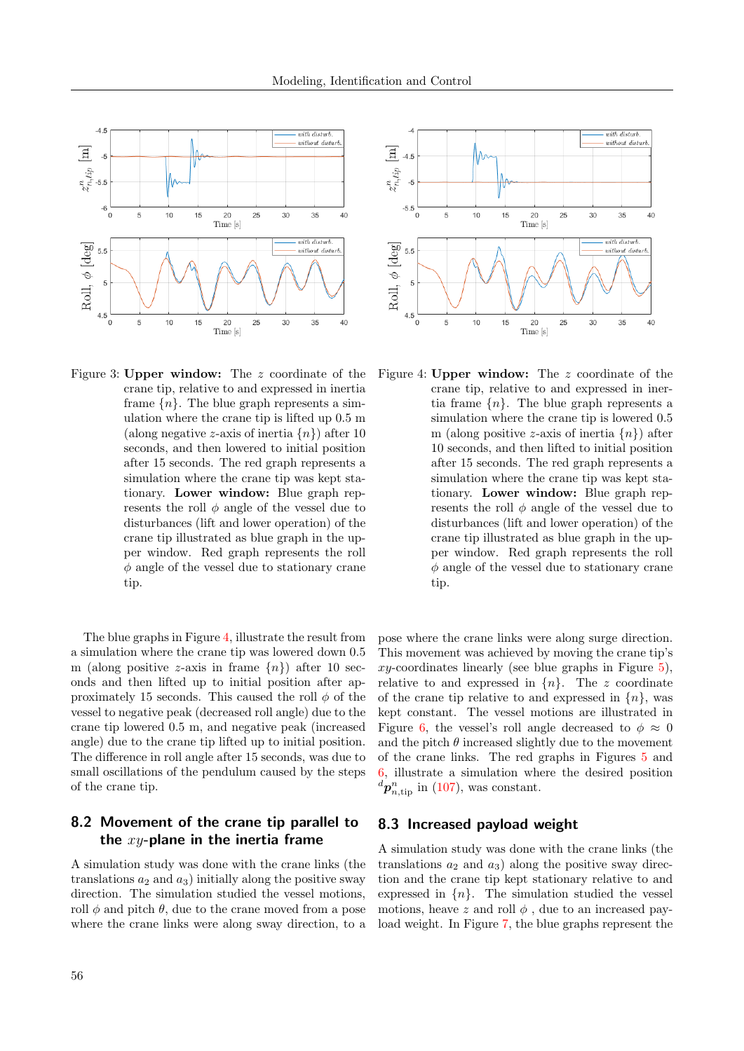

<span id="page-11-2"></span>Figure 3: Upper window: The z coordinate of the crane tip, relative to and expressed in inertia frame  $\{n\}$ . The blue graph represents a simulation where the crane tip is lifted up 0.5 m (along negative z-axis of inertia  $\{n\}$ ) after 10 seconds, and then lowered to initial position after 15 seconds. The red graph represents a simulation where the crane tip was kept stationary. Lower window: Blue graph represents the roll  $\phi$  angle of the vessel due to disturbances (lift and lower operation) of the crane tip illustrated as blue graph in the upper window. Red graph represents the roll  $\phi$  angle of the vessel due to stationary crane tip.

The blue graphs in Figure [4,](#page-11-3) illustrate the result from a simulation where the crane tip was lowered down 0.5 m (along positive z-axis in frame  $\{n\}$ ) after 10 seconds and then lifted up to initial position after approximately 15 seconds. This caused the roll  $\phi$  of the vessel to negative peak (decreased roll angle) due to the crane tip lowered 0.5 m, and negative peak (increased angle) due to the crane tip lifted up to initial position. The difference in roll angle after 15 seconds, was due to small oscillations of the pendulum caused by the steps of the crane tip.

## <span id="page-11-0"></span>8.2 Movement of the crane tip parallel to the  $xy$ -plane in the inertia frame

A simulation study was done with the crane links (the translations  $a_2$  and  $a_3$ ) initially along the positive sway direction. The simulation studied the vessel motions, roll  $\phi$  and pitch  $\theta$ , due to the crane moved from a pose where the crane links were along sway direction, to a



<span id="page-11-3"></span>Figure 4: Upper window: The z coordinate of the crane tip, relative to and expressed in inertia frame  $\{n\}$ . The blue graph represents a simulation where the crane tip is lowered 0.5 m (along positive z-axis of inertia  $\{n\}$ ) after 10 seconds, and then lifted to initial position after 15 seconds. The red graph represents a simulation where the crane tip was kept stationary. Lower window: Blue graph represents the roll  $\phi$  angle of the vessel due to disturbances (lift and lower operation) of the crane tip illustrated as blue graph in the upper window. Red graph represents the roll  $\phi$  angle of the vessel due to stationary crane tip.

pose where the crane links were along surge direction. This movement was achieved by moving the crane tip's  $xy$ -coordinates linearly (see blue graphs in Figure [5\)](#page-12-1), relative to and expressed in  $\{n\}$ . The z coordinate of the crane tip relative to and expressed in  $\{n\}$ , was kept constant. The vessel motions are illustrated in Figure [6,](#page-12-2) the vessel's roll angle decreased to  $\phi \approx 0$ and the pitch  $\theta$  increased slightly due to the movement of the crane links. The red graphs in Figures [5](#page-12-1) and [6,](#page-12-2) illustrate a simulation where the desired position  ${}^d{\bm p}^n_{n,\text{tip}}$  in [\(107\)](#page-9-2), was constant.

## <span id="page-11-1"></span>8.3 Increased payload weight

A simulation study was done with the crane links (the translations  $a_2$  and  $a_3$ ) along the positive sway direction and the crane tip kept stationary relative to and expressed in  $\{n\}$ . The simulation studied the vessel motions, heave z and roll  $\phi$ , due to an increased payload weight. In Figure [7,](#page-12-3) the blue graphs represent the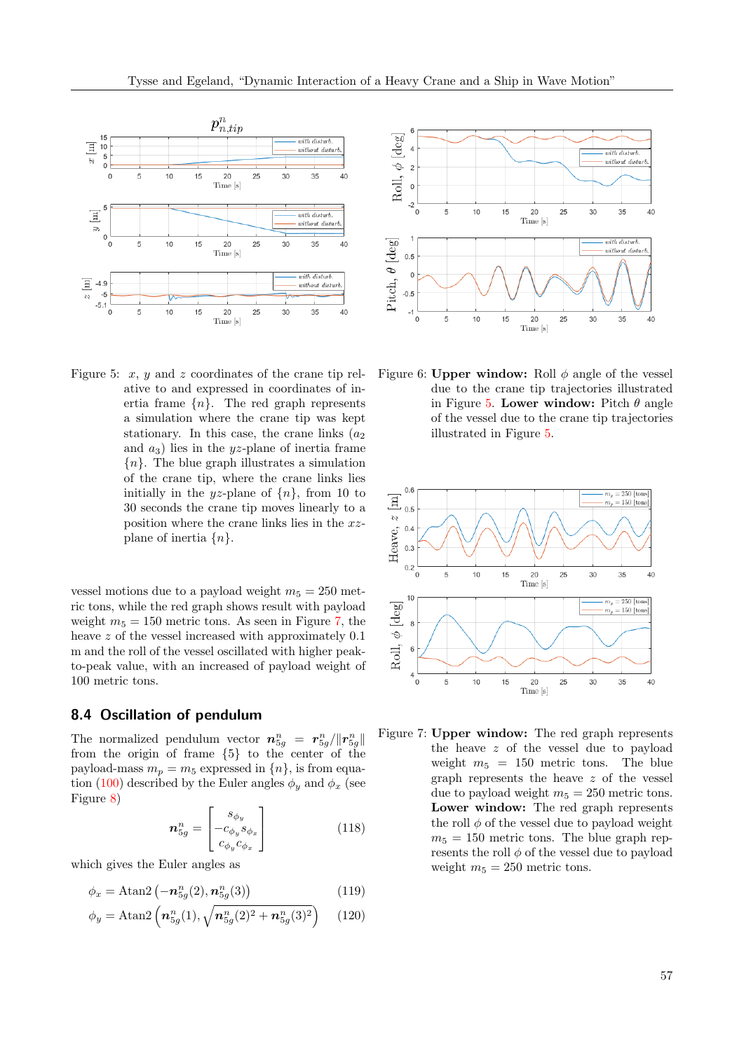

<span id="page-12-1"></span>Figure 5:  $x, y$  and  $z$  coordinates of the crane tip relative to and expressed in coordinates of inertia frame  $\{n\}$ . The red graph represents a simulation where the crane tip was kept stationary. In this case, the crane links  $(a_2)$ and  $a_3$ ) lies in the *uz*-plane of inertia frame  ${n}$ . The blue graph illustrates a simulation of the crane tip, where the crane links lies initially in the yz-plane of  $\{n\}$ , from 10 to 30 seconds the crane tip moves linearly to a position where the crane links lies in the xzplane of inertia  $\{n\}$ .

vessel motions due to a payload weight  $m_5 = 250$  metric tons, while the red graph shows result with payload weight  $m_5 = 150$  metric tons. As seen in Figure [7,](#page-12-3) the heave z of the vessel increased with approximately  $0.1$ m and the roll of the vessel oscillated with higher peakto-peak value, with an increased of payload weight of 100 metric tons.

#### <span id="page-12-0"></span>8.4 Oscillation of pendulum

The normalized pendulum vector  $n_{5g}^n = r_{5g}^n / \|r_{5g}^n\|$ from the origin of frame {5} to the center of the payload-mass  $m_p = m_5$  expressed in  $\{n\}$ , is from equa-tion [\(100\)](#page-9-3) described by the Euler angles  $\phi_y$  and  $\phi_x$  (see Figure [8\)](#page-13-1)

$$
\boldsymbol{n}_{5g}^{n} = \begin{bmatrix} s_{\phi_y} \\ -c_{\phi_y}s_{\phi_x} \\ c_{\phi_y}c_{\phi_x} \end{bmatrix} \tag{118}
$$

which gives the Euler angles as

$$
\phi_x = \text{Atan2}\left(-\mathbf{n}_{5g}^n(2), \mathbf{n}_{5g}^n(3)\right) \tag{119}
$$

$$
\phi_y = \text{Atan2}\left(\mathbf{n}_{5g}^n(1), \sqrt{\mathbf{n}_{5g}^n(2)^2 + \mathbf{n}_{5g}^n(3)^2}\right) \tag{120}
$$



<span id="page-12-2"></span>Figure 6: Upper window: Roll  $\phi$  angle of the vessel due to the crane tip trajectories illustrated in Figure [5.](#page-12-1) Lower window: Pitch  $\theta$  angle of the vessel due to the crane tip trajectories illustrated in Figure [5.](#page-12-1)



<span id="page-12-3"></span>Figure 7: Upper window: The red graph represents the heave z of the vessel due to payload weight  $m_5 = 150$  metric tons. The blue graph represents the heave z of the vessel due to payload weight  $m_5 = 250$  metric tons. Lower window: The red graph represents the roll  $\phi$  of the vessel due to payload weight  $m_5 = 150$  metric tons. The blue graph represents the roll  $\phi$  of the vessel due to payload weight  $m_5 = 250$  metric tons.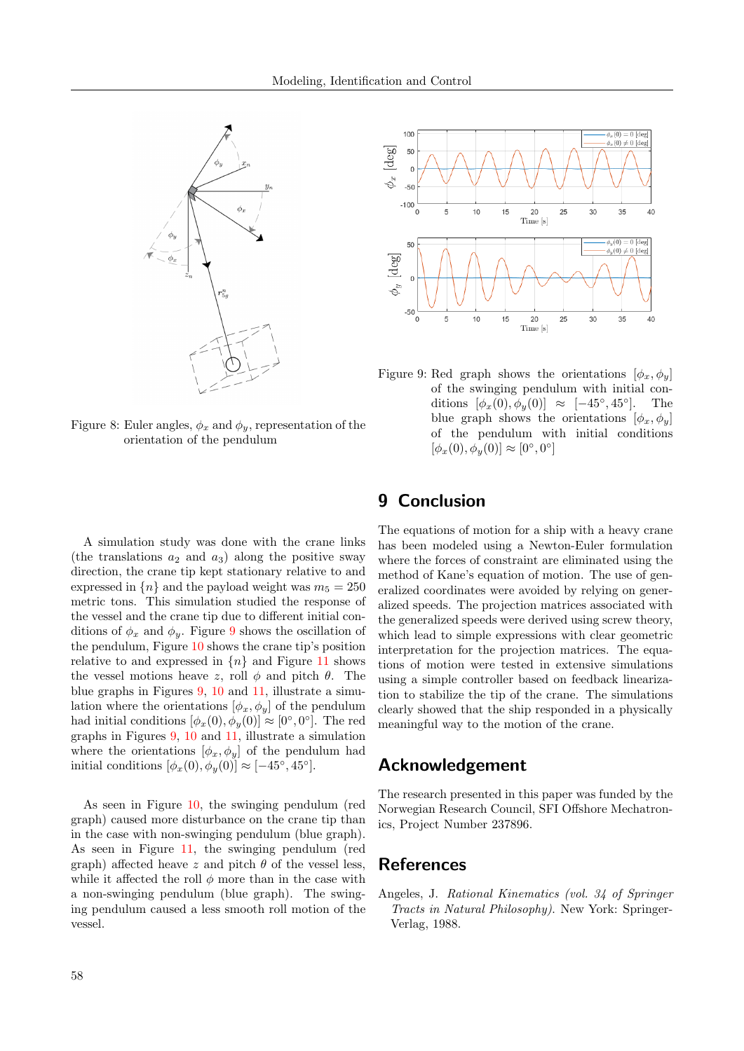

Figure 8: Euler angles,  $\phi_x$  and  $\phi_y$ , representation of the orientation of the pendulum



<span id="page-13-2"></span><span id="page-13-1"></span>Figure 9: Red graph shows the orientations  $[\phi_x, \phi_y]$ of the swinging pendulum with initial conditions  $[\phi_x(0), \phi_y(0)] \approx [-45^\circ, 45^\circ]$ ]. The blue graph shows the orientations  $[\phi_x, \phi_y]$ of the pendulum with initial conditions  $[\phi_x(0), \phi_y(0)] \approx [0^{\circ}, 0^{\circ}]$ 

A simulation study was done with the crane links (the translations  $a_2$  and  $a_3$ ) along the positive sway direction, the crane tip kept stationary relative to and expressed in  $\{n\}$  and the payload weight was  $m_5 = 250$ metric tons. This simulation studied the response of the vessel and the crane tip due to different initial conditions of  $\phi_x$  and  $\phi_y$ . Figure [9](#page-13-2) shows the oscillation of the pendulum, Figure [10](#page-14-13) shows the crane tip's position relative to and expressed in  $\{n\}$  and Figure [11](#page-14-14) shows the vessel motions heave z, roll  $\phi$  and pitch  $\theta$ . The blue graphs in Figures [9,](#page-13-2) [10](#page-14-13) and [11,](#page-14-14) illustrate a simulation where the orientations  $[\phi_x, \phi_y]$  of the pendulum had initial conditions  $[\phi_x(0), \phi_y(0)] \approx [0^\circ, 0^\circ]$ . The red graphs in Figures [9,](#page-13-2) [10](#page-14-13) and [11,](#page-14-14) illustrate a simulation where the orientations  $[\phi_x, \phi_y]$  of the pendulum had initial conditions  $[\phi_x(0), \phi_y(0)] \approx [-45^\circ, 45^\circ]$ .

As seen in Figure [10,](#page-14-13) the swinging pendulum (red graph) caused more disturbance on the crane tip than in the case with non-swinging pendulum (blue graph). As seen in Figure [11,](#page-14-14) the swinging pendulum (red graph) affected heave z and pitch  $\theta$  of the vessel less, while it affected the roll  $\phi$  more than in the case with a non-swinging pendulum (blue graph). The swinging pendulum caused a less smooth roll motion of the vessel.

# 9 Conclusion

The equations of motion for a ship with a heavy crane has been modeled using a Newton-Euler formulation where the forces of constraint are eliminated using the method of Kane's equation of motion. The use of generalized coordinates were avoided by relying on generalized speeds. The projection matrices associated with the generalized speeds were derived using screw theory, which lead to simple expressions with clear geometric interpretation for the projection matrices. The equations of motion were tested in extensive simulations using a simple controller based on feedback linearization to stabilize the tip of the crane. The simulations clearly showed that the ship responded in a physically meaningful way to the motion of the crane.

# Acknowledgement

The research presented in this paper was funded by the Norwegian Research Council, SFI Offshore Mechatronics, Project Number 237896.

# References

<span id="page-13-0"></span>Angeles, J. Rational Kinematics (vol. 34 of Springer Tracts in Natural Philosophy). New York: Springer-Verlag, 1988.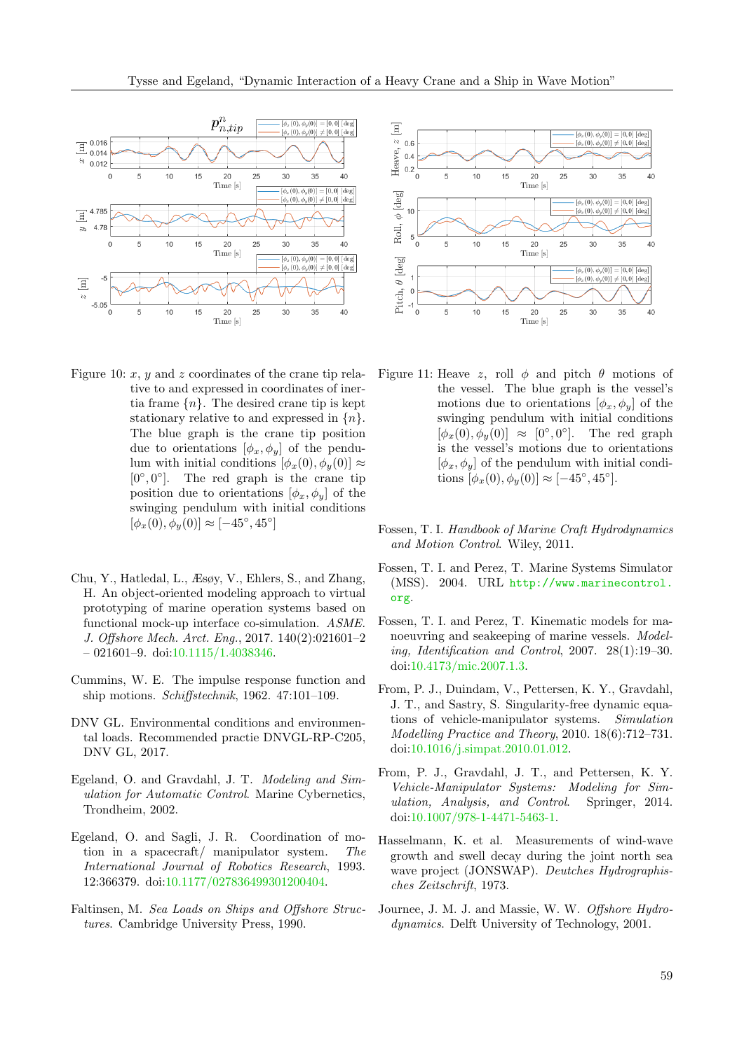

- <span id="page-14-13"></span>Figure 10:  $x$ ,  $y$  and  $z$  coordinates of the crane tip relative to and expressed in coordinates of inertia frame  $\{n\}$ . The desired crane tip is kept stationary relative to and expressed in  $\{n\}$ . The blue graph is the crane tip position due to orientations  $[\phi_x, \phi_y]$  of the pendulum with initial conditions  $[\phi_x(0), \phi_y(0)] \approx$  $[0^\circ, 0^\circ]$ . The red graph is the crane tip position due to orientations  $[\phi_x, \phi_y]$  of the swinging pendulum with initial conditions  $[\phi_x(0), \phi_y(0)] \approx [-45^\circ, 45^\circ]$
- <span id="page-14-0"></span>Chu, Y., Hatledal, L., Æsøy, V., Ehlers, S., and Zhang, H. An object-oriented modeling approach to virtual prototyping of marine operation systems based on functional mock-up interface co-simulation. ASME. J. Offshore Mech. Arct. Eng., 2017. 140(2):021601–2  $-021601-9.$  doi: $10.1115/1.4038346.$
- <span id="page-14-11"></span>Cummins, W. E. The impulse response function and ship motions. Schiffstechnik, 1962. 47:101–109.
- <span id="page-14-3"></span>DNV GL. Environmental conditions and environmental loads. Recommended practie DNVGL-RP-C205, DNV GL, 2017.
- <span id="page-14-8"></span>Egeland, O. and Gravdahl, J. T. Modeling and Simulation for Automatic Control. Marine Cybernetics, Trondheim, 2002.
- <span id="page-14-5"></span>Egeland, O. and Sagli, J. R. Coordination of motion in a spacecraft/ manipulator system. The International Journal of Robotics Research, 1993. 12:366379. doi[:10.1177/027836499301200404.](http://dx.doi.org/10.1177/027836499301200404)
- <span id="page-14-10"></span>Faltinsen, M. Sea Loads on Ships and Offshore Structures. Cambridge University Press, 1990.



- <span id="page-14-14"></span>Figure 11: Heave z, roll  $\phi$  and pitch  $\theta$  motions of the vessel. The blue graph is the vessel's motions due to orientations  $[\phi_x, \phi_y]$  of the swinging pendulum with initial conditions  $[\phi_x(0), \phi_y(0)] \approx [0^\circ, 0^\circ].$  The red graph is the vessel's motions due to orientations  $[\phi_x, \phi_y]$  of the pendulum with initial conditions  $[\phi_x(0), \phi_y(0)] \approx [-45^\circ, 45^\circ].$
- <span id="page-14-2"></span>Fossen, T. I. Handbook of Marine Craft Hydrodynamics and Motion Control. Wiley, 2011.
- <span id="page-14-12"></span>Fossen, T. I. and Perez, T. Marine Systems Simulator (MSS). 2004. URL [http://www.marinecontrol.](http://www.marinecontrol.org) [org](http://www.marinecontrol.org).
- <span id="page-14-4"></span>Fossen, T. I. and Perez, T. Kinematic models for manoeuvring and seakeeping of marine vessels. Modeling, Identification and Control, 2007. 28(1):19–30. doi[:10.4173/mic.2007.1.3.](http://dx.doi.org/10.4173/mic.2007.1.3)
- <span id="page-14-6"></span>From, P. J., Duindam, V., Pettersen, K. Y., Gravdahl, J. T., and Sastry, S. Singularity-free dynamic equations of vehicle-manipulator systems. Simulation Modelling Practice and Theory, 2010. 18(6):712–731. doi[:10.1016/j.simpat.2010.01.012.](http://dx.doi.org/10.1016/j.simpat.2010.01.012)
- <span id="page-14-7"></span>From, P. J., Gravdahl, J. T., and Pettersen, K. Y. Vehicle-Manipulator Systems: Modeling for Simulation, Analysis, and Control. Springer, 2014. doi[:10.1007/978-1-4471-5463-1.](http://dx.doi.org/10.1007/978-1-4471-5463-1)
- <span id="page-14-9"></span>Hasselmann, K. et al. Measurements of wind-wave growth and swell decay during the joint north sea wave project (JONSWAP). Deutches Hydrographisches Zeitschrift, 1973.
- <span id="page-14-1"></span>Journee, J. M. J. and Massie, W. W. Offshore Hydrodynamics. Delft University of Technology, 2001.